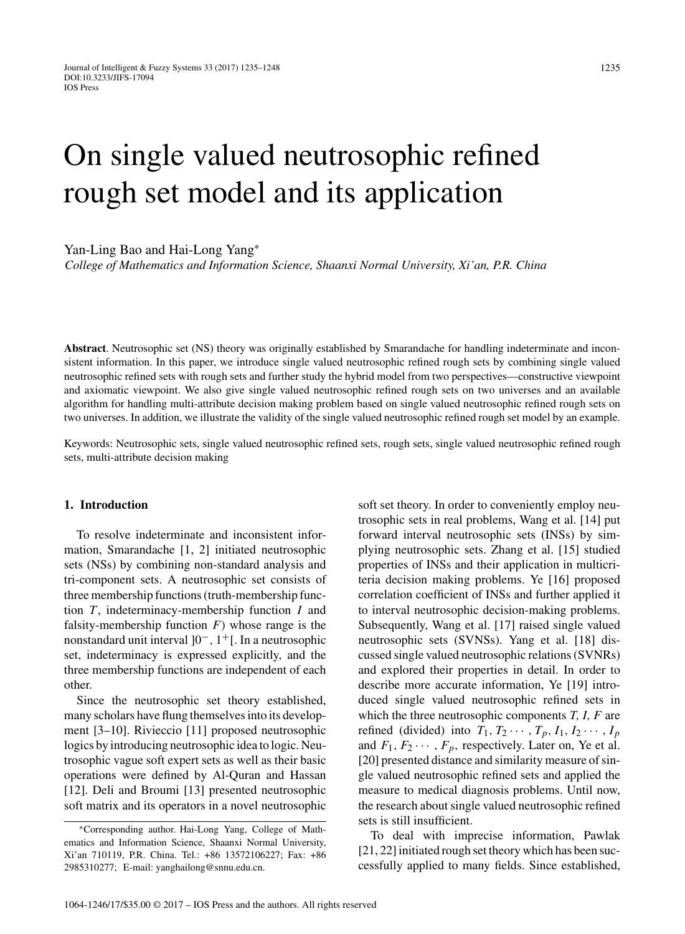# On single valued neutrosophic refined rough set model and its application

Yan-Ling Bao and Hai-Long Yang<sup>∗</sup>

*College of Mathematics and Information Science, Shaanxi Normal University, Xi'an, P.R. China*

**Abstract**. Neutrosophic set (NS) theory was originally established by Smarandache for handling indeterminate and inconsistent information. In this paper, we introduce single valued neutrosophic refined rough sets by combining single valued neutrosophic refined sets with rough sets and further study the hybrid model from two perspectives—constructive viewpoint and axiomatic viewpoint. We also give single valued neutrosophic refined rough sets on two universes and an available algorithm for handling multi-attribute decision making problem based on single valued neutrosophic refined rough sets on two universes. In addition, we illustrate the validity of the single valued neutrosophic refined rough set model by an example.

Keywords: Neutrosophic sets, single valued neutrosophic refined sets, rough sets, single valued neutrosophic refined rough sets, multi-attribute decision making

#### **1. Introduction**

To resolve indeterminate and inconsistent information, Smarandache [1, 2] initiated neutrosophic sets (NSs) by combining non-standard analysis and tri-component sets. A neutrosophic set consists of three membership functions (truth-membership function *T* , indeterminacy-membership function *I* and falsity-membership function *F*) whose range is the nonstandard unit interval ]0−*,* 1+[. In a neutrosophic set, indeterminacy is expressed explicitly, and the three membership functions are independent of each other.

Since the neutrosophic set theory established, many scholars have flung themselves into its development [3–10]. Rivieccio [11] proposed neutrosophic logics by introducing neutrosophic idea to logic. Neutrosophic vague soft expert sets as well as their basic operations were defined by Al-Quran and Hassan [12]. Deli and Broumi [13] presented neutrosophic soft matrix and its operators in a novel neutrosophic

soft set theory. In order to conveniently employ neutrosophic sets in real problems, Wang et al. [14] put forward interval neutrosophic sets (INSs) by simplying neutrosophic sets. Zhang et al. [15] studied properties of INSs and their application in multicriteria decision making problems. Ye [16] proposed correlation coefficient of INSs and further applied it to interval neutrosophic decision-making problems. Subsequently, Wang et al. [17] raised single valued neutrosophic sets (SVNSs). Yang et al. [18] discussed single valued neutrosophic relations (SVNRs) and explored their properties in detail. In order to describe more accurate information, Ye [19] introduced single valued neutrosophic refined sets in which the three neutrosophic components *T, I, F* are refined (divided) into  $T_1, T_2, \cdots, T_p, I_1, I_2, \cdots, I_p$ and  $F_1, F_2, \cdots, F_p$ , respectively. Later on, Ye et al. [20] presented distance and similarity measure of single valued neutrosophic refined sets and applied the measure to medical diagnosis problems. Until now, the research about single valued neutrosophic refined sets is still insufficient.

To deal with imprecise information, Pawlak [21, 22] initiated rough set theory which has been successfully applied to many fields. Since established,

<sup>∗</sup>Corresponding author. Hai-Long Yang, College of Mathematics and Information Science, Shaanxi Normal University, Xi'an 710119, P.R. China. Tel.: +86 13572106227; Fax: +86 2985310277; E-mail: [yanghailong@snnu.edu.cn.](mailto:yanghailong@snnu.edu.cn)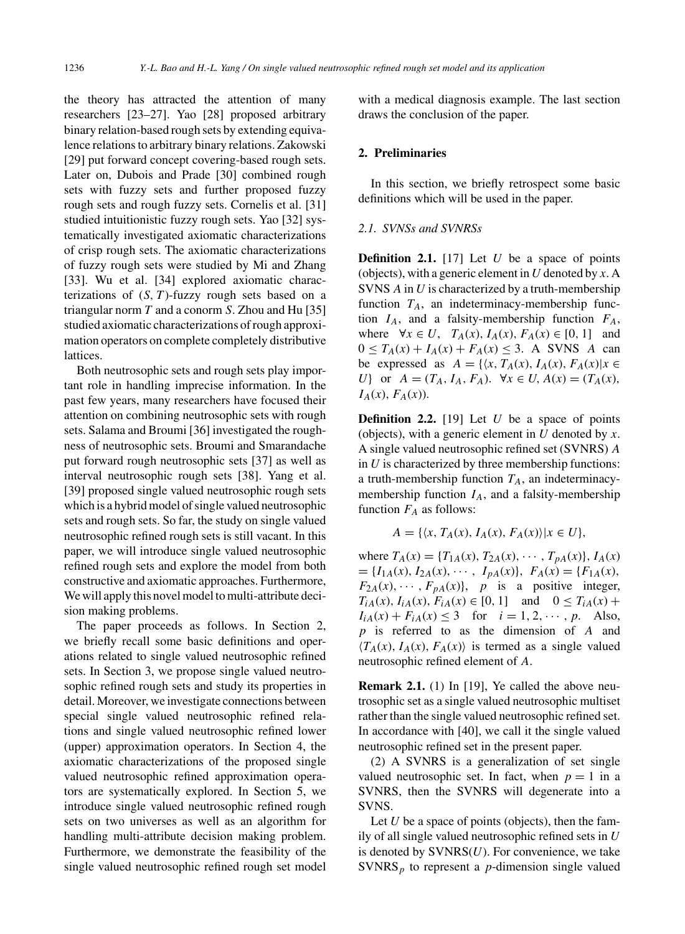the theory has attracted the attention of many researchers [23–27]. Yao [28] proposed arbitrary binary relation-based rough sets by extending equivalence relations to arbitrary binary relations. Zakowski [29] put forward concept covering-based rough sets. Later on, Dubois and Prade [30] combined rough sets with fuzzy sets and further proposed fuzzy rough sets and rough fuzzy sets. Cornelis et al. [31] studied intuitionistic fuzzy rough sets. Yao [32] systematically investigated axiomatic characterizations of crisp rough sets. The axiomatic characterizations of fuzzy rough sets were studied by Mi and Zhang [33]. Wu et al. [34] explored axiomatic characterizations of  $(S, T)$ -fuzzy rough sets based on a triangular norm *T* and a conorm *S*. Zhou and Hu [35] studied axiomatic characterizations of rough approximation operators on complete completely distributive lattices.

Both neutrosophic sets and rough sets play important role in handling imprecise information. In the past few years, many researchers have focused their attention on combining neutrosophic sets with rough sets. Salama and Broumi [36] investigated the roughness of neutrosophic sets. Broumi and Smarandache put forward rough neutrosophic sets [37] as well as interval neutrosophic rough sets [38]. Yang et al. [39] proposed single valued neutrosophic rough sets which is a hybrid model of single valued neutrosophic sets and rough sets. So far, the study on single valued neutrosophic refined rough sets is still vacant. In this paper, we will introduce single valued neutrosophic refined rough sets and explore the model from both constructive and axiomatic approaches. Furthermore, We will apply this novel model to multi-attribute decision making problems.

The paper proceeds as follows. In Section 2, we briefly recall some basic definitions and operations related to single valued neutrosophic refined sets. In Section 3, we propose single valued neutrosophic refined rough sets and study its properties in detail. Moreover, we investigate connections between special single valued neutrosophic refined relations and single valued neutrosophic refined lower (upper) approximation operators. In Section 4, the axiomatic characterizations of the proposed single valued neutrosophic refined approximation operators are systematically explored. In Section 5, we introduce single valued neutrosophic refined rough sets on two universes as well as an algorithm for handling multi-attribute decision making problem. Furthermore, we demonstrate the feasibility of the single valued neutrosophic refined rough set model with a medical diagnosis example. The last section draws the conclusion of the paper.

## **2. Preliminaries**

In this section, we briefly retrospect some basic definitions which will be used in the paper.

#### *2.1. SVNSs and SVNRSs*

**Definition 2.1.** [17] Let *U* be a space of points (objects), with a generic element in *U* denoted by *x*. A SVNS *A* in *U* is characterized by a truth-membership function  $T_A$ , an indeterminacy-membership function  $I_A$ , and a falsity-membership function  $F_A$ , where  $\forall x \in U$ ,  $T_A(x)$ ,  $I_A(x)$ ,  $F_A(x) \in [0, 1]$  and  $0 \le T_A(x) + I_A(x) + F_A(x) \le 3$ . A SVNS *A* can be expressed as  $A = \{ \langle x, T_A(x), I_A(x), F_A(x) | x \in$ *U*} or  $A = (T_A, I_A, F_A)$ *.*  $\forall x \in U, A(x) = (T_A(x),$  $I_A(x)$ *,*  $F_A(x)$ *)*.

**Definition 2.2.** [19] Let *U* be a space of points (objects), with a generic element in *U* denoted by *x*. A single valued neutrosophic refined set (SVNRS) *A* in *U* is characterized by three membership functions: a truth-membership function  $T_A$ , an indeterminacymembership function  $I_A$ , and a falsity-membership function  $F_A$  as follows:

$$
A = \{ \langle x, T_A(x), I_A(x), F_A(x) \rangle | x \in U \},\
$$

where  $T_A(x) = \{T_{1A}(x), T_{2A}(x), \cdots, T_{pA}(x)\}, I_A(x)$  $= \{I_{1A}(x), I_{2A}(x), \cdots, I_{pA}(x)\}, F_A(x) = \{F_{1A}(x), F_{2A}(x)\}$  $F_{2A}(x), \cdots, F_{pA}(x)$ , *p* is a positive integer,  $T_{iA}(x)$ *,*  $I_{iA}(x)$ *, F<sub>iA</sub>*(*x*) ∈ [0*,* 1] and 0 ≤  $T_{iA}(x)$  +  $I_{iA}(x) + F_{iA}(x) \leq 3$  for  $i = 1, 2, \dots, p$ . Also, *p* is referred to as the dimension of *A* and  $\langle T_A(x), I_A(x), F_A(x) \rangle$  is termed as a single valued neutrosophic refined element of *A*.

**Remark 2.1.** (1) In [19], Ye called the above neutrosophic set as a single valued neutrosophic multiset rather than the single valued neutrosophic refined set. In accordance with [40], we call it the single valued neutrosophic refined set in the present paper.

(2) A SVNRS is a generalization of set single valued neutrosophic set. In fact, when  $p = 1$  in a SVNRS, then the SVNRS will degenerate into a SVNS.

Let *U* be a space of points (objects), then the family of all single valued neutrosophic refined sets in *U* is denoted by SVNRS(*U*). For convenience, we take SVNRS*<sup>p</sup>* to represent a *p*-dimension single valued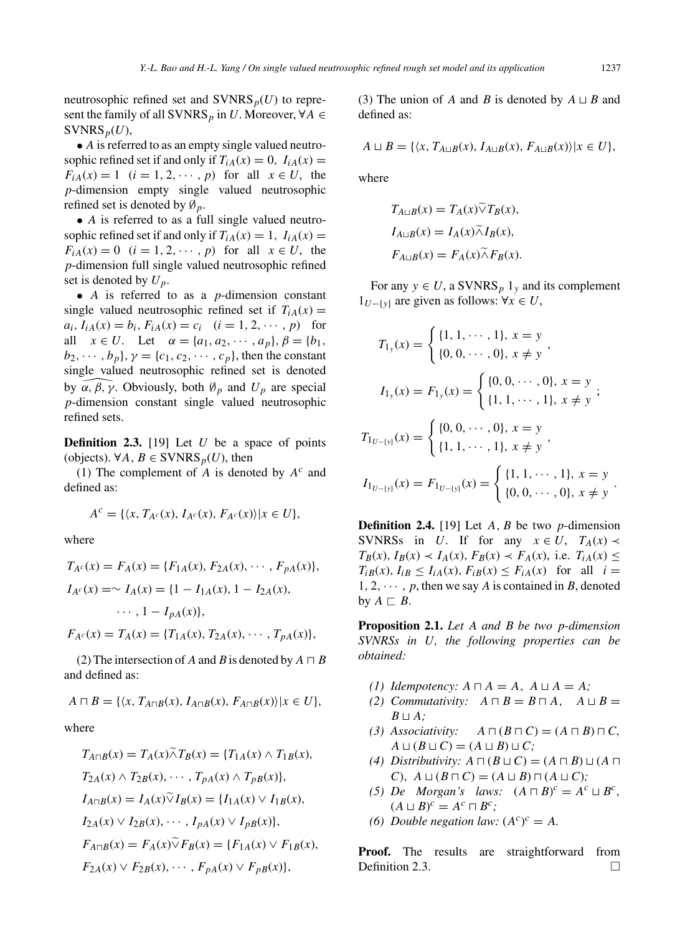neutrosophic refined set and  $\text{SVNRS}_p(U)$  to represent the family of all SVNRS<sub>p</sub> in *U*. Moreover,  $\forall A \in$  $SVMRS_p(U)$ ,

• *A* is referred to as an empty single valued neutrosophic refined set if and only if  $T_{iA}(x) = 0$ ,  $I_{iA}(x) =$  $F_{iA}(x) = 1$  (*i* = 1, 2, ···, *p*) for all  $x \in U$ , the *p*-dimension empty single valued neutrosophic refined set is denoted by ∅*p*.

• *A* is referred to as a full single valued neutrosophic refined set if and only if  $T_{iA}(x) = 1$ ,  $I_{iA}(x) =$  $F_{iA}(x) = 0$  (*i* = 1, 2, ···, *p*) for all  $x \in U$ , the *p*-dimension full single valued neutrosophic refined set is denoted by *Up*.

• *A* is referred to as a *p*-dimension constant single valued neutrosophic refined set if  $T_{iA}(x) =$  $a_i$ ,  $I_{iA}(x) = b_i$ ,  $F_{iA}(x) = c_i$   $(i = 1, 2, \dots, p)$  for all  $x \in U$ . Let  $\alpha = \{a_1, a_2, \dots, a_p\}, \beta = \{b_1, a_2, \dots, b_p\}$ *b*<sub>2</sub>*,* ···*, b<sub>p</sub>*}*, γ* = {*c*<sub>1</sub>*, c*<sub>2</sub>*,* ···*, c<sub><i>p*</sub>}, then the constant single valued neutrosophic refined set is denoted by  $\alpha$ *, β, γ*. Obviously, both  $\emptyset_p$  and  $U_p$  are special single valued neutrosophic refined set is denoted *p*-dimension constant single valued neutrosophic refined sets.

**Definition 2.3.** [19] Let *U* be a space of points (objects). ∀*A*, *B* ∈ SVNRS<sub>*p*</sub>(*U*), then

(1) The complement of *A* is denoted by *A<sup>c</sup>* and defined as:

$$
A^c = \{ \langle x, T_{A^c}(x), I_{A^c}(x), F_{A^c}(x) \rangle | x \in U \},\
$$

where

$$
T_{A^c}(x) = F_A(x) = \{F_{1A}(x), F_{2A}(x), \dots, F_{pA}(x)\},
$$
  
\n
$$
I_{A^c}(x) = \sim I_A(x) = \{1 - I_{1A}(x), 1 - I_{2A}(x), \dots, 1 - I_{pA}(x)\},
$$
  
\n
$$
\cdots, 1 - I_{pA}(x)\},
$$
  
\n
$$
F_{A^c}(x) = T_A(x) = \{T_{1A}(x), T_{2A}(x), \dots, T_{pA}(x)\},
$$

(2) The intersection of *A* and *B* is denoted by  $A \sqcap B$ and defined as:

$$
A \sqcap B = \{ \langle x, T_{A \sqcap B}(x), I_{A \sqcap B}(x), F_{A \sqcap B}(x) \rangle | x \in U \},\
$$

where

$$
T_{A\cap B}(x) = T_A(x)\tilde{\wedge}T_B(x) = \{T_{1A}(x) \wedge T_{1B}(x),
$$
  
\n
$$
T_{2A}(x) \wedge T_{2B}(x), \cdots, T_{pA}(x) \wedge T_{pB}(x)\},
$$
  
\n
$$
I_{A\cap B}(x) = I_A(x)\tilde{\vee}I_B(x) = \{I_{1A}(x) \vee I_{1B}(x),
$$
  
\n
$$
I_{2A}(x) \vee I_{2B}(x), \cdots, I_{pA}(x) \vee I_{pB}(x)\},
$$
  
\n
$$
F_{A\cap B}(x) = F_A(x)\tilde{\vee}F_B(x) = \{F_{1A}(x) \vee F_{1B}(x),
$$
  
\n
$$
F_{2A}(x) \vee F_{2B}(x), \cdots, F_{pA}(x) \vee F_{pB}(x)\},
$$

(3) The union of *A* and *B* is denoted by  $A \sqcup B$  and defined as:

$$
A \sqcup B = \{ \langle x, T_{A \sqcup B}(x), I_{A \sqcup B}(x), F_{A \sqcup B}(x) \rangle | x \in U \},\
$$

where

$$
T_{A \sqcup B}(x) = T_A(x) \widetilde{\vee} T_B(x),
$$
  
\n
$$
I_{A \sqcup B}(x) = I_A(x) \widetilde{\wedge} I_B(x),
$$
  
\n
$$
F_{A \sqcup B}(x) = F_A(x) \widetilde{\wedge} F_B(x).
$$

For any  $y \in U$ , a SVNRS<sub>p</sub> 1<sub>y</sub> and its complement 1*U*−{*y*} are given as follows: ∀*x* ∈ *U*,

$$
T_{1y}(x) = \begin{cases} \{1, 1, \dots, 1\}, x = y \\ \{0, 0, \dots, 0\}, x \neq y \end{cases},
$$
  
\n
$$
I_{1y}(x) = F_{1y}(x) = \begin{cases} \{0, 0, \dots, 0\}, x = y \\ \{1, 1, \dots, 1\}, x \neq y \end{cases};
$$
  
\n
$$
T_{1_{U-[y]}}(x) = \begin{cases} \{0, 0, \dots, 0\}, x = y \\ \{1, 1, \dots, 1\}, x \neq y \end{cases},
$$
  
\n
$$
I_{1_{U-[y]}}(x) = F_{1_{U-[y]}}(x) = \begin{cases} \{1, 1, \dots, 1\}, x = y \\ \{0, 0, \dots, 0\}, x \neq y \end{cases}.
$$

**Definition 2.4.** [19] Let *A, B* be two *p*-dimension SVNRSs in *U*. If for any  $x \in U$ ,  $T_A(x) \prec$  $T_B(x)$ ,  $I_B(x) \prec I_A(x)$ ,  $F_B(x) \prec F_A(x)$ , i.e.  $T_{iA}(x) \leq$  $T_{iB}(x)$ ,  $I_{iB} \leq I_{iA}(x)$ ,  $F_{iB}(x) \leq F_{iA}(x)$  for all  $i =$  $1, 2, \cdots, p$ , then we say *A* is contained in *B*, denoted by  $A \sqsubset B$ .

**Proposition 2.1.** *Let A and B be two p-dimension SVNRSs in U, the following properties can be obtained:*

- *(1) Idempotency:*  $A \sqcap A = A$ ,  $A \sqcup A = A$ ;
- *(2)* Commutativity:  $A \sqcap B = B \sqcap A$ ,  $A \sqcup B =$  $B \sqcup A$ *;*
- *(3) Associativity: A*  $\Box (B \Box C) = (A \Box B) \Box C,$  $A \sqcup (B \sqcup C) = (A \sqcup B) \sqcup C;$
- *(4) Distributivity:*  $A \sqcap (B \sqcup C) = (A \sqcap B) \sqcup (A \sqcap$ *C*)*,*  $A \sqcup (B \sqcap C) = (A \sqcup B) \sqcap (A \sqcup C)$ ;
- (5) De Morgan's laws:  $(A \sqcap B)^c = A^c \sqcup B^c$ ,  $(A \sqcup B)^c = A^c \sqcap B^c;$
- *(6) Double negation law:*  $(A^c)^c = A$ *.*

**Proof.** The results are straightforward from Definition 2.3.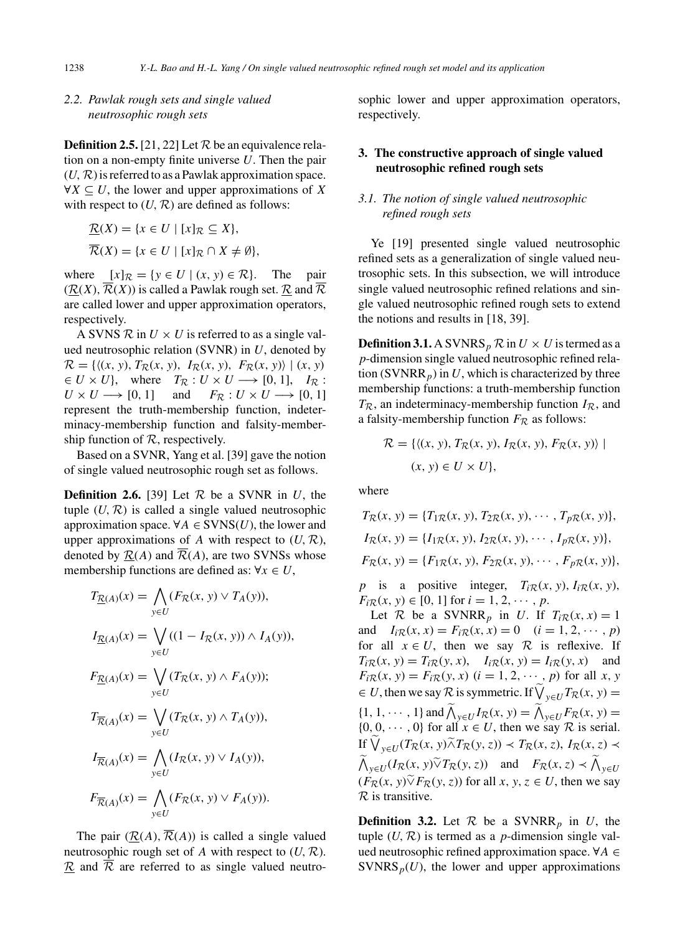## *2.2. Pawlak rough sets and single valued neutrosophic rough sets*

**Definition 2.5.** [21, 22] Let  $R$  be an equivalence relation on a non-empty finite universe *U*. Then the pair  $(U, \mathcal{R})$  is referred to as a Pawlak approximation space. ∀*X* ⊆ *U*, the lower and upper approximations of *X* with respect to  $(U, \mathcal{R})$  are defined as follows:

$$
\underline{\mathcal{R}}(X) = \{x \in U \mid [x]_{\mathcal{R}} \subseteq X\},\
$$

$$
\overline{\mathcal{R}}(X) = \{x \in U \mid [x]_{\mathcal{R}} \cap X \neq \emptyset\},\
$$

where  $[x]_{\mathcal{R}} = \{y \in U \mid (x, y) \in \mathcal{R}\}.$  The pair  $(R(X), \overline{R}(X))$  is called a Pawlak rough set. R and  $\overline{R}$ are called lower and upper approximation operators, respectively.

A SVNS  $\mathcal R$  in  $U \times U$  is referred to as a single valued neutrosophic relation (SVNR) in *U*, denoted by  $\mathcal{R} = \{((x, y), T_{\mathcal{R}}(x, y), I_{\mathcal{R}}(x, y), F_{\mathcal{R}}(x, y)) | (x, y) \}$  $\in U \times U$ }, where  $T_R : U \times U \longrightarrow [0, 1]$ ,  $I_R : U \times U \longrightarrow [0, 1]$  and  $F_R : U \times U \longrightarrow [0, 1]$  $F_{\mathcal{R}}: U \times U \longrightarrow [0, 1]$ represent the truth-membership function, indeterminacy-membership function and falsity-membership function of  $R$ , respectively.

Based on a SVNR, Yang et al. [39] gave the notion of single valued neutrosophic rough set as follows.

**Definition 2.6.** [39] Let  $R$  be a SVNR in  $U$ , the tuple  $(U, \mathcal{R})$  is called a single valued neutrosophic approximation space.  $\forall A \in \text{SVNS}(U)$ , the lower and upper approximations of A with respect to  $(U, \mathcal{R})$ , denoted by  $\mathcal{R}(A)$  and  $\overline{\mathcal{R}}(A)$ , are two SVNSs whose membership functions are defined as:  $\forall x \in U$ ,

$$
T_{\underline{R}(A)}(x) = \bigwedge_{y \in U} (F_{\mathcal{R}}(x, y) \vee T_A(y)),
$$
  
\n
$$
I_{\underline{R}(A)}(x) = \bigvee_{y \in U} ((1 - I_{\mathcal{R}}(x, y)) \wedge I_A(y)),
$$
  
\n
$$
F_{\underline{R}(A)}(x) = \bigvee_{y \in U} (T_{\mathcal{R}}(x, y) \wedge F_A(y));
$$
  
\n
$$
T_{\overline{R}(A)}(x) = \bigvee_{y \in U} (T_{\mathcal{R}}(x, y) \wedge T_A(y)),
$$
  
\n
$$
I_{\overline{R}(A)}(x) = \bigwedge_{y \in U} (I_{\mathcal{R}}(x, y) \vee I_A(y)),
$$
  
\n
$$
F_{\overline{R}(A)}(x) = \bigwedge_{y \in U} (F_{\mathcal{R}}(x, y) \vee F_A(y)).
$$

The pair  $(R(A), \overline{R}(A))$  is called a single valued neutrosophic rough set of *A* with respect to (*U,* R).  $\overline{\mathcal{R}}$  and  $\overline{\mathcal{R}}$  are referred to as single valued neutrosophic lower and upper approximation operators, respectively.

## **3. The constructive approach of single valued neutrosophic refined rough sets**

# *3.1. The notion of single valued neutrosophic refined rough sets*

Ye [19] presented single valued neutrosophic refined sets as a generalization of single valued neutrosophic sets. In this subsection, we will introduce single valued neutrosophic refined relations and single valued neutrosophic refined rough sets to extend the notions and results in [18, 39].

**Definition 3.1.** A SVNRS<sub>p</sub>  $\mathcal{R}$  in  $U \times U$  is termed as a *p*-dimension single valued neutrosophic refined relation (SVNRR<sub>p</sub>) in  $U$ , which is characterized by three membership functions: a truth-membership function  $T_{\mathcal{R}}$ , an indeterminacy-membership function  $I_{\mathcal{R}}$ , and a falsity-membership function  $F_R$  as follows:

$$
\mathcal{R} = \{ \langle (x, y), T_{\mathcal{R}}(x, y), I_{\mathcal{R}}(x, y), F_{\mathcal{R}}(x, y) \rangle \mid
$$
  

$$
(x, y) \in U \times U \},
$$

where

$$
T_{\mathcal{R}}(x, y) = \{T_{1\mathcal{R}}(x, y), T_{2\mathcal{R}}(x, y), \cdots, T_{p\mathcal{R}}(x, y)\},
$$
  
\n
$$
I_{\mathcal{R}}(x, y) = \{I_{1\mathcal{R}}(x, y), I_{2\mathcal{R}}(x, y), \cdots, I_{p\mathcal{R}}(x, y)\},
$$
  
\n
$$
F_{\mathcal{R}}(x, y) = \{F_{1\mathcal{R}}(x, y), F_{2\mathcal{R}}(x, y), \cdots, F_{p\mathcal{R}}(x, y)\},
$$

*p* is a positive integer,  $T_i \mathcal{R}(x, y)$ ,  $I_i \mathcal{R}(x, y)$ ,  $F_{i\mathcal{R}}(x, y) \in [0, 1]$  for  $i = 1, 2, \dots, p$ .

Let  $\mathcal R$  be a SVNRR<sub>p</sub> in *U*. If  $T_{i\mathcal R}(x, x) = 1$ and  $I_{i\mathcal{R}}(x, x) = F_{i\mathcal{R}}(x, x) = 0$   $(i = 1, 2, \dots, p)$ for all  $x \in U$ , then we say R is reflexive. If  $T_i \mathcal{R}(x, y) = T_i \mathcal{R}(y, x), \quad I_i \mathcal{R}(x, y) = I_i \mathcal{R}(y, x)$  and  $F_{iR}(x, y) = F_{iR}(y, x)$  (*i* = 1, 2, ···, *p*) for all *x*, *y*  $\in U$ , then we say  $\mathcal{R}$  is symmetric. If  $\bigvee_{y \in U} T_{\mathcal{R}}(x, y) =$  $\{1, 1, \dots, 1\}$  and  $\bigwedge_{y \in U} I_{\mathcal{R}}(x, y) = \bigwedge_{y \in U} F_{\mathcal{R}}(x, y) =$  $\{0, 0, \dots, 0\}$  for all  $x \in U$ , then we say  $\mathcal R$  is serial. If  $\bigvee_{y \in U} (T_R(x, y) \tilde{\wedge} T_R(y, z)) \prec T_R(x, z), I_R(x, z) \prec$  $\bigwedge_{y \in U} (I_R(x, y) \widetilde{\vee} T_R(y, z))$  and  $F_R(x, z) \prec \bigwedge_{y \in U} (I_R(x, y) \widetilde{\vee} T_R(y, z))$  $(F_{\mathcal{R}}(x, y) \widetilde{\vee} F_{\mathcal{R}}(y, z))$  for all *x*, *y*, *z*  $\in U$ , then we say  $\mathcal{R}$  is transitive.

**Definition 3.2.** Let  $\mathcal{R}$  be a SVNRR<sub>p</sub> in *U*, the tuple  $(U, \mathcal{R})$  is termed as a *p*-dimension single valued neutrosophic refined approximation space. ∀*A* ∈ SVNRS $_p(U)$ , the lower and upper approximations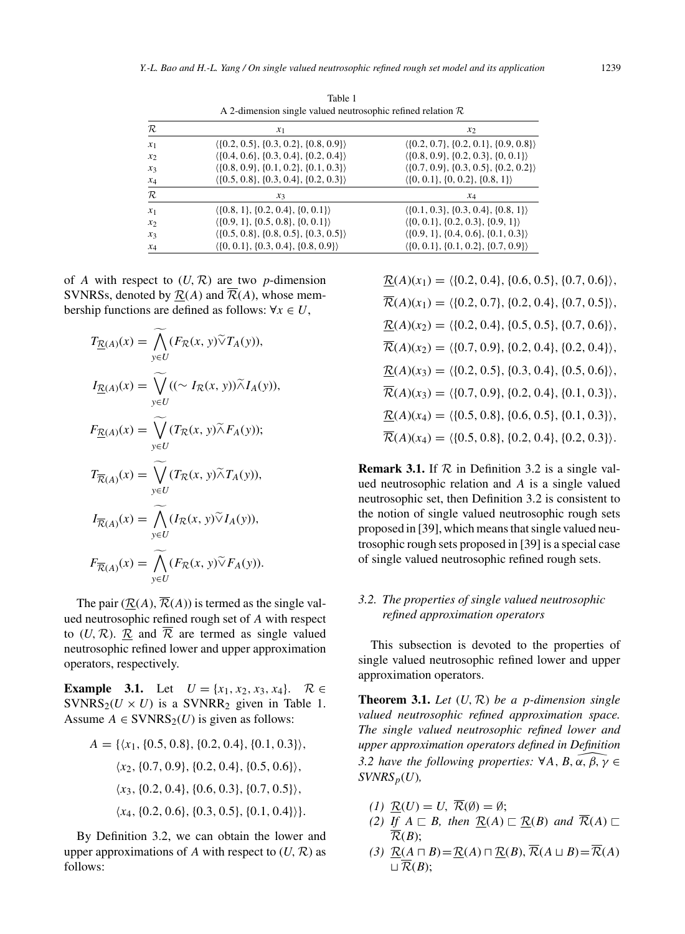| $A$ z-unnension single valued neutrosophic refined relation $\kappa$ |                                                            |                                                            |  |  |
|----------------------------------------------------------------------|------------------------------------------------------------|------------------------------------------------------------|--|--|
| $\mathcal R$                                                         | $x_1$                                                      | $x_2$                                                      |  |  |
| $x_1$                                                                | $\langle \{0.2, 0.5\}, \{0.3, 0.2\}, \{0.8, 0.9\} \rangle$ | $(0.2, 0.7], \{0.2, 0.1\}, \{0.9, 0.8\}$                   |  |  |
| $x_2$                                                                | $( \{0.4, 0.6\}, \{0.3, 0.4\}, \{0.2, 0.4\} )$             | $( \{0.8, 0.9\}, \{0.2, 0.3\}, \{0, 0.1\} )$               |  |  |
| $x_3$                                                                | $( \{0.8, 0.9\}, \{0.1, 0.2\}, \{0.1, 0.3\} )$             | $\langle \{0.7, 0.9\}, \{0.3, 0.5\}, \{0.2, 0.2\} \rangle$ |  |  |
| $x_4$                                                                | $( \{0.5, 0.8\}, \{0.3, 0.4\}, \{0.2, 0.3\} )$             | $\langle \{0, 0.1\}, \{0, 0.2\}, \{0.8, 1\} \rangle$       |  |  |
| $\mathcal{R}$                                                        | $x_3$                                                      | $x_4$                                                      |  |  |
| $x_1$                                                                | $\langle \{0.8, 1\}, \{0.2, 0.4\}, \{0, 0.1\} \rangle$     | $\langle \{0.1, 0.3\}, \{0.3, 0.4\}, \{0.8, 1\} \rangle$   |  |  |
| $x_2$                                                                | $( \{0.9, 1\}, \{0.5, 0.8\}, \{0, 0.1\} )$                 | $\langle \{0, 0.1\}, \{0.2, 0.3\}, \{0.9, 1\} \rangle$     |  |  |
| $x_3$                                                                | $( \{0.5, 0.8\}, \{0.8, 0.5\}, \{0.3, 0.5\} )$             | $( \{0.9, 1\}, \{0.4, 0.6\}, \{0.1, 0.3\})$                |  |  |
| $x_4$                                                                | $( \{0, 0.1\}, \{0.3, 0.4\}, \{0.8, 0.9\})$                | $\langle \{0, 0.1\}, \{0.1, 0.2\}, \{0.7, 0.9\} \rangle$   |  |  |

Table 1 A 2-dimension single valued neutrosophic refined relation R

of *A* with respect to  $(U, \mathcal{R})$  are two *p*-dimension SVNRSs, denoted by  $R(A)$  and  $\overline{R}(A)$ , whose membership functions are defined as follows:  $\forall x \in U$ ,

$$
T_{\underline{R}(A)}(x) = \widetilde{\bigwedge}_{y \in U} (F_{\mathcal{R}}(x, y) \widetilde{\vee} T_A(y)),
$$
  
\n
$$
I_{\underline{R}(A)}(x) = \widetilde{\bigvee}_{y \in U} ((\sim I_{\mathcal{R}}(x, y)) \widetilde{\wedge} I_A(y)),
$$
  
\n
$$
F_{\underline{R}(A)}(x) = \widetilde{\bigvee}_{y \in U} (T_{\mathcal{R}}(x, y) \widetilde{\wedge} F_A(y));
$$
  
\n
$$
T_{\overline{R}(A)}(x) = \widetilde{\bigvee}_{y \in U} (T_{\mathcal{R}}(x, y) \widetilde{\wedge} T_A(y)),
$$
  
\n
$$
I_{\overline{R}(A)}(x) = \widetilde{\bigwedge}_{y \in U} (I_{\mathcal{R}}(x, y) \widetilde{\vee} I_A(y)),
$$
  
\n
$$
F_{\overline{R}(A)}(x) = \widetilde{\bigwedge}_{y \in U} (F_{\mathcal{R}}(x, y) \widetilde{\vee} F_A(y)).
$$

The pair  $(R(A), \overline{R}(A))$  is termed as the single valued neutrosophic refined rough set of *A* with respect to  $(U, \mathcal{R})$ .  $\mathcal{R}$  and  $\overline{\mathcal{R}}$  are termed as single valued neutrosophic refined lower and upper approximation operators, respectively.

**Example 3.1.** Let  $U = \{x_1, x_2, x_3, x_4\}$ .  $\mathcal{R} \in$ SVNRS<sub>2</sub>( $U \times U$ ) is a SVNRR<sub>2</sub> given in Table 1. Assume  $A \in \text{SVNRS}_2(U)$  is given as follows:

$$
A = \{ \langle x_1, \{0.5, 0.8\}, \{0.2, 0.4\}, \{0.1, 0.3\} \rangle,
$$
  

$$
\langle x_2, \{0.7, 0.9\}, \{0.2, 0.4\}, \{0.5, 0.6\} \rangle,
$$
  

$$
\langle x_3, \{0.2, 0.4\}, \{0.6, 0.3\}, \{0.7, 0.5\} \rangle,
$$
  

$$
\langle x_4, \{0.2, 0.6\}, \{0.3, 0.5\}, \{0.1, 0.4\} \rangle \}.
$$

By Definition 3.2, we can obtain the lower and upper approximations of  $A$  with respect to  $(U, \mathcal{R})$  as follows:

 $\mathcal{R}(A)(x_1) = \langle \{0.2, 0.4\}, \{0.6, 0.5\}, \{0.7, 0.6\} \rangle$  $\overline{\mathcal{R}}(A)(x_1) = \langle \{0.2, 0.7\}, \{0.2, 0.4\}, \{0.7, 0.5\} \rangle$  $\mathcal{R}(A)(x_2) = \langle \{0.2, 0.4\}, \{0.5, 0.5\}, \{0.7, 0.6\} \rangle$  $\overline{\mathcal{R}}(A)(x_2) = \langle \{0.7, 0.9\}, \{0.2, 0.4\}, \{0.2, 0.4\} \rangle$  $\mathcal{R}(A)(x_3) = \langle \{0.2, 0.5\}, \{0.3, 0.4\}, \{0.5, 0.6\} \rangle$  $\overline{\mathcal{R}}(A)(x_3) = \langle \{0.7, 0.9\}, \{0.2, 0.4\}, \{0.1, 0.3\} \rangle$  $\mathcal{R}(A)(x_4) = \langle \{0.5, 0.8\}, \{0.6, 0.5\}, \{0.1, 0.3\} \rangle$  $\overline{\mathcal{R}}(A)(x_4) = \langle \{0.5, 0.8\}, \{0.2, 0.4\}, \{0.2, 0.3\} \rangle$ .

**Remark 3.1.** If  $\mathcal{R}$  in Definition 3.2 is a single valued neutrosophic relation and *A* is a single valued neutrosophic set, then Definition 3.2 is consistent to the notion of single valued neutrosophic rough sets proposed in [39], which means that single valued neutrosophic rough sets proposed in [39] is a special case of single valued neutrosophic refined rough sets.

# *3.2. The properties of single valued neutrosophic refined approximation operators*

This subsection is devoted to the properties of single valued neutrosophic refined lower and upper approximation operators.

**Theorem 3.1.** *Let* (*U,* R) *be a p-dimension single valued neutrosophic refined approximation space. The single valued neutrosophic refined lower and upper approximation operators defined in Definition* 3.2 have the following properties:  $\forall A, B, \alpha, \beta, \gamma \in \mathbb{R}$ *upper approximation operators defined in Definition*  $SVMRS_p(U)$ ,

- *(1)*  $\mathcal{R}(U) = U$ ,  $\overline{\mathcal{R}}(\emptyset) = \emptyset$ ;
- (2) If  $A \sqsubset B$ , then  $\underline{\mathcal{R}}(A) \sqsubset \underline{\mathcal{R}}(B)$  and  $\mathcal{R}(A) \sqsubset$  $\overline{\mathcal{R}}(B)$ :
- (3)  $\underline{\mathcal{R}}(\underline{A} \sqcap B) = \underline{\mathcal{R}}(\underline{A}) \sqcap \underline{\mathcal{R}}(\underline{B}), \overline{\mathcal{R}}(\underline{A} \sqcup \underline{B}) = \overline{\mathcal{R}}(\underline{A})$  $\sqcup \overline{\mathcal{R}}(B);$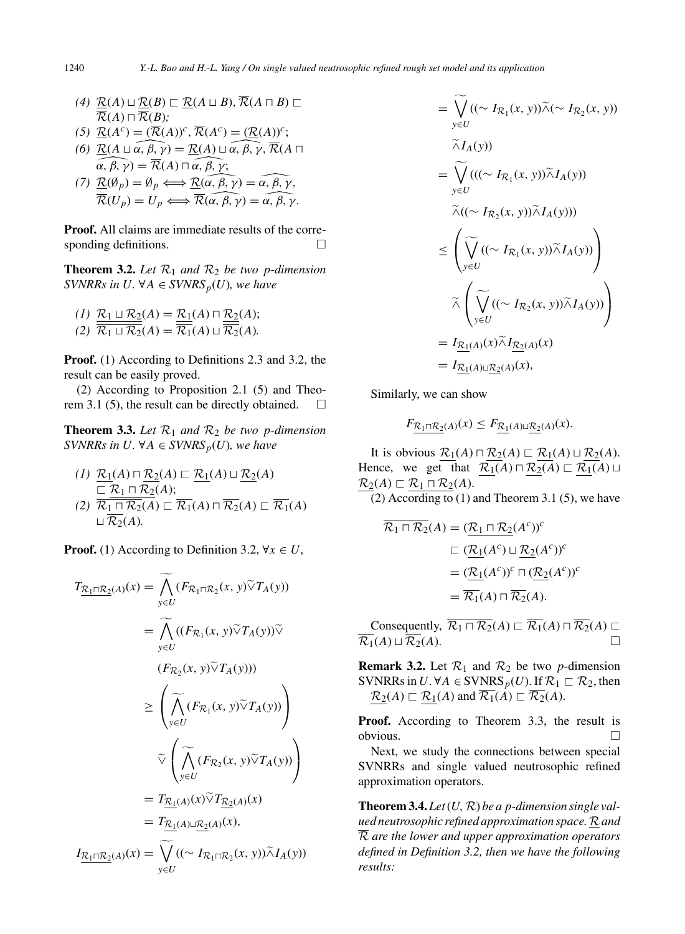- $\mathcal{R}(A) \sqsubseteq R(A) \sqcup \mathcal{R}(B) \sqsubseteq \mathcal{R}(A \sqcup B), R(A \sqcap B) \sqsubseteq$  $R(A) \sqcap R(B);$
- $(\mathcal{F}) \ \underline{\mathcal{R}}(A^c) = (\overline{\mathcal{R}}(A))^c, \overline{\mathcal{R}}(A^c) = (\underline{\mathcal{R}}(A))^c;$  $\overline{\mathcal{R}}(A) \sqcap \overline{\mathcal{R}}(B);$ <br> *(5)*  $\underline{\mathcal{R}}(A^c) = (\overline{\mathcal{R}}(A))^c, \overline{\mathcal{R}}(A^c) = (\underline{\mathcal{R}}(A))^c;$ <br> *(6)*  $\underline{\mathcal{R}}(A \sqcup \alpha, \beta, \gamma) = \underline{\mathcal{R}}(A) \sqcup \alpha, \beta, \gamma, \overline{\mathcal{R}}(A \sqcap$
- $\frac{a}{r}$ ,  $\mathcal{R}(A^c)$ <br>=  $\frac{\mathcal{R}(A)}{\alpha}$ ,  $\beta$ ,  $\gamma$ ; *(6)*  $\underline{\mathcal{R}}(A \sqcup \alpha, \beta, \gamma) = \underline{\mathcal{R}}(A) \sqcup \alpha, \beta, \gamma, \mathcal{R}(A)$ <br>  $\alpha, \beta, \gamma) = \overline{\mathcal{R}}(A) \sqcap \alpha, \beta, \gamma;$ <br>
(7)  $\underline{\mathcal{R}}(\emptyset_p) = \emptyset_p \Longleftrightarrow \underline{\mathcal{R}}(\alpha, \beta, \gamma) = \widehat{\alpha, \beta, \gamma}.$

$$
\alpha, \beta, \gamma = \mathcal{R}(A) \sqcap \alpha, \beta, \gamma;
$$
  
(7) 
$$
\underline{\mathcal{R}}(\emptyset_p) = \emptyset_p \Longleftrightarrow \underline{\mathcal{R}}(\alpha, \beta, \gamma) = \alpha, \beta, \gamma,
$$
  

$$
\overline{\mathcal{R}}(U_p) = U_p \Longleftrightarrow \overline{\mathcal{R}}(\alpha, \beta, \gamma) = \alpha, \beta, \gamma.
$$

**Proof.** All claims are immediate results of the corresponding definitions.

**Theorem 3.2.** Let  $\mathcal{R}_1$  and  $\mathcal{R}_2$  be two p-dimension *SVNRRs in U.* ∀*A* ∈ *SVNRS*<sub>*p*</sub>(*U*)*, we have* 

$$
(1) \frac{\mathcal{R}_1 \sqcup \mathcal{R}_2(A) = \mathcal{R}_1(A) \sqcap \mathcal{R}_2(A);}{\mathcal{R}_1 \sqcup \mathcal{R}_2(A) = \overline{\mathcal{R}_1}(A) \sqcup \overline{\mathcal{R}_2}(A).
$$

**Proof.** (1) According to Definitions 2.3 and 3.2, the result can be easily proved.

(2) According to Proposition 2.1 (5) and Theorem 3.1 (5), the result can be directly obtained.  $\square$ 

**Theorem 3.3.** Let  $\mathcal{R}_1$  and  $\mathcal{R}_2$  be two p-dimension *SVNRRs in U.* ∀*A* ∈ *SVNRS*<sub>*p*</sub>(*U*)*, we have* 

$$
(1) \frac{\mathcal{R}_1(A) \sqcap \mathcal{R}_2(A) \sqsubset \mathcal{R}_1(A) \sqcup \mathcal{R}_2(A)}{\sqsubset \mathcal{R}_1 \sqcap \mathcal{R}_2(A);}
$$
  
\n
$$
(2) \frac{\mathcal{R}_1 \sqcap \mathcal{R}_2(A)}{\mathcal{R}_1 \sqcap \mathcal{R}_2(A) \sqsubset \mathcal{R}_1(A) \sqcap \mathcal{R}_2(A) \sqsubset \mathcal{R}_1(A)}
$$
  
\n
$$
\sqcup \mathcal{R}_2(A).
$$

**Proof.** (1) According to Definition 3.2,  $\forall x \in U$ ,

$$
T_{\underline{\mathcal{R}}_1 \sqcap \underline{\mathcal{R}}_2(A)}(x) = \widetilde{\bigwedge}_{y \in U} (F_{\mathcal{R}}_1 \sqcap \mathcal{R}_2(x, y) \widetilde{\vee} T_A(y))
$$
  
\n
$$
= \widetilde{\bigwedge}_{y \in U} ((F_{\mathcal{R}}_1(x, y) \widetilde{\vee} T_A(y)) \widetilde{\vee}
$$
  
\n
$$
(F_{\mathcal{R}}_2(x, y) \widetilde{\vee} T_A(y)))
$$
  
\n
$$
\geq \left( \widetilde{\bigwedge}_{y \in U} (F_{\mathcal{R}}_1(x, y) \widetilde{\vee} T_A(y)) \right)
$$
  
\n
$$
\widetilde{\vee} \left( \widetilde{\bigwedge}_{y \in U} (F_{\mathcal{R}}_2(x, y) \widetilde{\vee} T_A(y)) \right)
$$
  
\n
$$
= T_{\underline{\mathcal{R}}_1(A)}(x) \widetilde{\vee} T_{\underline{\mathcal{R}}_2(A)}(x)
$$
  
\n
$$
= T_{\underline{\mathcal{R}}_1(A) \sqcup \underline{\mathcal{R}}_2(A)}(x),
$$
  
\n
$$
I_{\underline{\mathcal{R}}_1 \sqcap \underline{\mathcal{R}}_2(A)}(x) = \widetilde{\bigvee}_{y \in U} ((\sim I_{\mathcal{R}}_1 \sqcap \mathcal{R}_2(x, y)) \widetilde{\wedge} I_A(y))
$$

$$
= \widetilde{\bigvee_{y \in U}} ((\sim I_{\mathcal{R}_1}(x, y)) \widetilde{\wedge} (\sim I_{\mathcal{R}_2}(x, y))
$$
  
\n
$$
= \widetilde{\bigvee_{y \in U}} (((\sim I_{\mathcal{R}_1}(x, y)) \widetilde{\wedge} I_A(y))
$$
  
\n
$$
= \widetilde{\bigvee_{y \in U}} ((\sim I_{\mathcal{R}_2}(x, y)) \widetilde{\wedge} I_A(y)))
$$
  
\n
$$
\leq \left( \widetilde{\bigvee_{y \in U}} ((\sim I_{\mathcal{R}_1}(x, y)) \widetilde{\wedge} I_A(y)) \right)
$$
  
\n
$$
= \widetilde{\bigvee_{y \in U}} ((\sim I_{\mathcal{R}_2}(x, y)) \widetilde{\wedge} I_A(y))
$$
  
\n
$$
= I_{\underline{\mathcal{R}}_1(A)}(x) \widetilde{\wedge} I_{\underline{\mathcal{R}}_2(A)}(x)
$$
  
\n
$$
= I_{\underline{\mathcal{R}}_1(A)}(x) \mathbb{E}_2(A)(x),
$$

Similarly, we can show

$$
F_{\underline{\mathcal{R}}_1 \cap \underline{\mathcal{R}}_2(A)}(x) \le F_{\underline{\mathcal{R}}_1(A) \sqcup \underline{\mathcal{R}}_2(A)}(x).
$$

It is obvious  $\underline{\mathcal{R}}_1(A) \sqcap \underline{\mathcal{R}}_2(A) \sqsubset \underline{\mathcal{R}}_1(A) \sqcup \underline{\mathcal{R}}_2(A)$ . Hence, we get that  $R_1(A) \sqcap R_2(A) \sqsubset R_1(A) \sqcup$  $\underline{\mathcal{R}_2}(A) \sqsubset \underline{\mathcal{R}_1 \sqcap \mathcal{R}_2}(A)$ .

(2) According to  $(1)$  and Theorem 3.1  $(5)$ , we have

$$
\overline{\mathcal{R}_1 \cap \mathcal{R}_2}(A) = (\underbrace{\mathcal{R}_1 \cap \mathcal{R}_2}(A^c))^c
$$
  
\n
$$
\subseteq (\underbrace{\mathcal{R}_1(A^c) \sqcup \mathcal{R}_2(A^c))^c}
$$
  
\n
$$
= (\underbrace{\mathcal{R}_1(A^c))^c \sqcap (\mathcal{R}_2(A^c))^c}
$$
  
\n
$$
= \overline{\mathcal{R}_1}(A) \sqcap \overline{\mathcal{R}_2}(A).
$$

Consequently,  $\mathcal{R}_1 \sqcap \mathcal{R}_2(A) \sqsubset \mathcal{R}_1(A) \sqcap \mathcal{R}_2(A) \sqsubset$  $\overline{\mathcal{R}_1}(A) \sqcup \overline{\mathcal{R}_2}(A)$ .

**Remark 3.2.** Let  $\mathcal{R}_1$  and  $\mathcal{R}_2$  be two *p*-dimension SVNRRs in *U*. ∀*A* ∈ SVNRS<sub>*p*</sub>(*U*). If  $\mathcal{R}_1 \subset \mathcal{R}_2$ , then  $\underline{\mathcal{R}}_2(A) \sqsubset \underline{\mathcal{R}}_1(A)$  and  $\mathcal{R}_1(A) \sqsubset \mathcal{R}_2(A)$ .

**Proof.** According to Theorem 3.3, the result is obvious.  $\Box$ 

Next, we study the connections between special SVNRRs and single valued neutrosophic refined approximation operators.

**Theorem 3.4.** *Let*  $(U, R)$  *be a p-dimension single valued neutrosophic refined approximation space.* R*and* R *are the lower and upper approximation operators defined in Definition 3.2, then we have the following results:*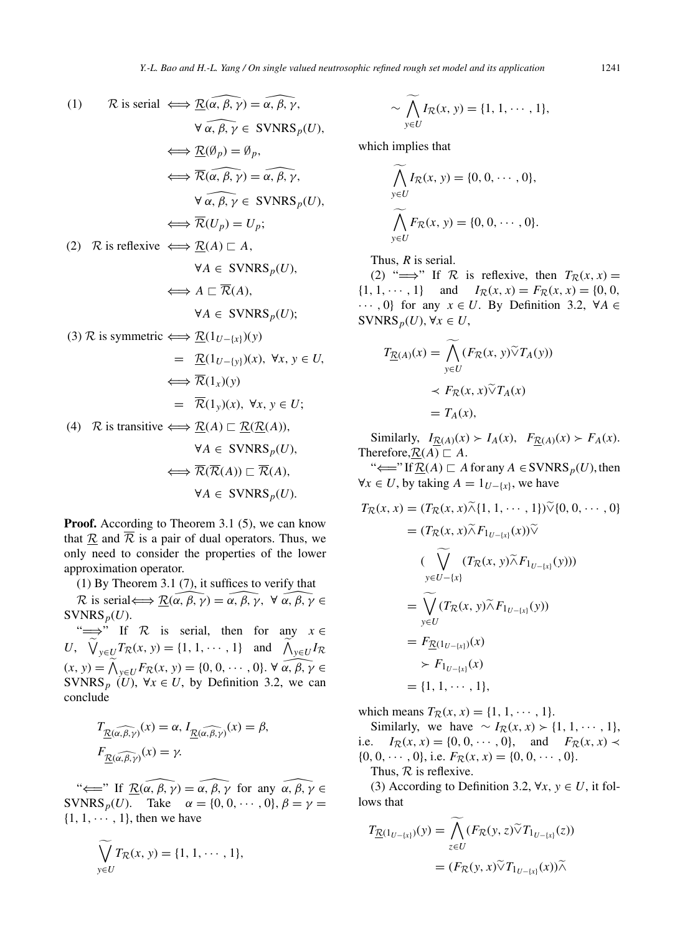Y.-L. *Bao and H.-L. Yang / On single valued neutrosophic refined rough set model and its application*  
\n(1) 
$$
\mathcal{R}
$$
 is serial  $\iff \mathcal{R}(\alpha, \beta, \gamma) = \alpha, \beta, \gamma$ ,  $\sim \bigwedge_{y \in U} I_R(x, y) = \{1, 1, \cdots, 1\}$ ,  $\forall \alpha, \beta, \gamma \in \text{SVNRS}_p(U)$ ,  $\iff \mathcal{R}(\alpha, \beta, \gamma) = \alpha, \beta, \gamma$ , which implies that  $\iff \mathcal{R}(\alpha, \beta, \gamma) = \alpha, \beta, \gamma$ ,  $\bigwedge_{y \in U} I_R(x, y) = \{0, 0, \cdots, 0\}$ ,  $\forall \alpha, \beta, \gamma \in \text{SVNRS}_p(U)$ ,  $\iff \mathcal{R}(U_p) = U_p$ ;  $\bigwedge_{y \in U} F_R(x, y) = \{0, 0, \cdots, 0\}$ .  
\n(2)  $\mathcal{R}$  is reflexive  $\iff \mathcal{R}(A) \sqsubset A$ ,  $\forall A \in \text{SVNRS}_p(U)$ , Thus, *R* is serial.  
\n $\iff A \sqsubset \overline{\mathcal{R}}(A)$ ,  $\forall A \in \text{SVNRS}_p(U)$ ;  $\forall A \in \text{SVNRS}_p(U)$ ,  $\forall X \in U$ ,  $\forall A \in \text{SVNRS}_p(U)$ ,  $\forall X \in U$ ,  $\forall A \in \text{SVNRS}_p(U)$ ,  $\forall X \in U$ ,  $\forall B \in \text{TVNRS}_p(U)$ ,  $\forall X \in U$ ,  $\forall B \in \text{TVNRS}_p(U)$ ,  $\forall X \in U$ ,  $\forall B \in \text{TVNRS}_p(U)$ ,  $\forall X \in U$ ,  $\forall B \in \text{TVNRS}_p(U)$ ,  $\forall X \in U$ ,  $\forall B \in \text{TVNRS}_p(U)$ ,  $\forall X \in U$ ,  $\forall B \in \text{TVNRS}_p(U)$ ,  $\forall X \in U$ ,  $\forall B \in \text{TVNRS}_p(U)$ ,  $\forall B \in \text{TVNRS}_p(U)$ ,  $\forall B \in \text{TVNRS}_p(U)$ 

**Proof.** According to Theorem 3.1 (5), we can know that  $\underline{\mathcal{R}}$  and  $\overline{\mathcal{R}}$  is a pair of dual operators. Thus, we only need to consider the properties of the lower approximation operator.

(1) By Theorem 3.1 (7), it suffices to verify that

 $\mathcal{R}$  is serial  $\Longleftrightarrow \mathcal{R}(\alpha, \beta, \gamma) = \alpha, \beta, \gamma, \ \forall \alpha, \beta, \gamma \in$  $SVMRS_p(U)$ .

" $\implies$ " If R is serial, then for any  $x \in$  $U$ ,  $\bigvee_{y \in U} T_{\mathcal{R}}(x, y) = \{1, 1, \cdots, 1\}$  and  $\bigwedge_{y \in U} I_{\mathcal{R}}$  $(x, y) = \bigwedge$ *If K* is serial, then for any  $x \in T_R(x, y) = \{1, 1, \dots, 1\}$  and  $\overline{\bigwedge_{y \in U} I_R}$ <br> $y \in U^F R(x, y) = \{0, 0, \dots, 0\}$ .  $\forall \alpha, \beta, \gamma \in$ SVNRS<sub>p</sub> (*U*),  $\forall x \in U$ , by Definition 3.2, we can conclude

$$
T_{\underline{\mathcal{R}}(\widehat{\alpha,\beta,\gamma})}(x) = \alpha, I_{\underline{\mathcal{R}}(\widehat{\alpha,\beta,\gamma})}(x) = \beta,
$$
  

$$
F_{\underline{\mathcal{R}}(\widehat{\alpha,\beta,\gamma})}(x) = \gamma.
$$

" $\Longleftarrow$ " If  $\overline{\mathcal{R}(\alpha, \beta, \gamma)} = \alpha, \beta, \gamma$  for any  $\alpha, \beta, \gamma \in$ SVNRS<sub>*p*</sub>(*U*). Take  $\alpha = \{0, 0, \dots, 0\}, \beta = \gamma =$  $\{1, 1, \cdots, 1\}$ , then we have

$$
\bigvee_{y\in U}T_{\mathcal{R}}(x, y)=\{1, 1, \cdots, 1\},\
$$

$$
\sim \bigwedge_{y \in U} I_{\mathcal{R}}(x, y) = \{1, 1, \cdots, 1\},
$$

which implies that

$$
\widetilde{\bigwedge}_{y \in U} I_{\mathcal{R}}(x, y) = \{0, 0, \cdots, 0\},
$$
\n
$$
\widetilde{\bigwedge}_{y \in U} F_{\mathcal{R}}(x, y) = \{0, 0, \cdots, 0\}.
$$

Thus, *R* is serial.

(2) " $\implies$ " If R is reflexive, then  $T_R(x, x) =$  $\{1, 1, \dots, 1\}$  and  $I_{\mathcal{R}}(x, x) = F_{\mathcal{R}}(x, x) = \{0, 0, 1\}$ ··· *,* 0} for any *x* ∈ *U*. By Definition 3.2, ∀*A* ∈  $SVMRS_p(U), \forall x \in U$ ,

$$
T_{\underline{R}(A)}(x) = \widetilde{\bigwedge}_{y \in U} (F_{\underline{R}}(x, y) \widetilde{\vee} T_A(y))
$$
  

$$
\prec F_{\underline{R}}(x, x) \widetilde{\vee} T_A(x)
$$
  

$$
= T_A(x),
$$

Similarly,  $I_{\mathcal{R}(A)}(x) \succ I_A(x)$ ,  $F_{\mathcal{R}(A)}(x) \succ F_A(x)$ . Therefore,  $\underline{\mathcal{R}}(A) \sqsubset A$ .

"<sup>←</sup>  $\leftarrow$  If  $\underline{\mathcal{R}}(A) \sqsubset A$  for any  $A \in \text{SVNRS}_p(U)$ , then  $∀x ∈ U$ , by taking  $A = 1_{U- {x}}$ , we have

$$
T_{\mathcal{R}}(x, x) = (T_{\mathcal{R}}(x, x) \tilde{\wedge} \{1, 1, \cdots, 1\}) \tilde{\vee} \{0, 0, \cdots, 0\}
$$
  
\n
$$
= (T_{\mathcal{R}}(x, x) \tilde{\wedge} F_{1_{U-\{x\}}}(x)) \tilde{\vee}
$$
  
\n
$$
(\bigvee_{y \in U-\{x\}} (T_{\mathcal{R}}(x, y) \tilde{\wedge} F_{1_{U-\{x\}}}(y)))
$$
  
\n
$$
= \bigvee_{y \in U} (T_{\mathcal{R}}(x, y) \tilde{\wedge} F_{1_{U-\{x\}}}(y))
$$
  
\n
$$
= F_{\underline{\mathcal{R}}(1_{U-\{x\}})}(x)
$$
  
\n
$$
\succ F_{1_{U-\{x\}}}(x)
$$
  
\n
$$
= \{1, 1, \cdots, 1\},
$$

which means  $T_R(x, x) = \{1, 1, \dots, 1\}.$ 

Similarly, we have  $∼ I_{\mathcal{R}}(x, x) ≥ {1, 1, ⋯, 1},$ i.e.  $I_{\mathcal{R}}(x, x) = \{0, 0, \dots, 0\}$ , and  $F_{\mathcal{R}}(x, x) \prec$  $\{0, 0, \cdots, 0\},$  i.e.  $F_{\mathcal{R}}(x, x) = \{0, 0, \cdots, 0\}.$ 

Thus,  $R$  is reflexive.

(3) According to Definition 3.2,  $\forall x, y \in U$ , it follows that

$$
T_{\underline{\mathcal{R}}(1_{U-[x]})}(y) = \bigwedge_{z \in U} (F_{\mathcal{R}}(y, z) \widetilde{\vee} T_{1_{U-[x]}}(z))
$$
  
= 
$$
(F_{\mathcal{R}}(y, x) \widetilde{\vee} T_{1_{U-[x]}}(x)) \widetilde{\wedge}
$$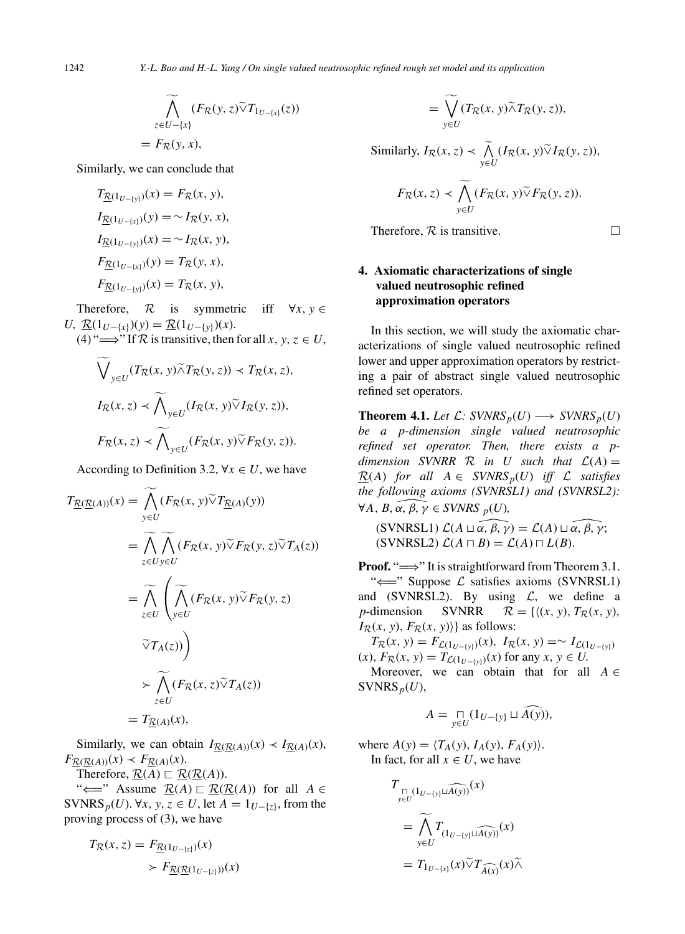$$
\widetilde{\bigwedge}_{z \in U - \{x\}} (F_{\mathcal{R}}(y, z) \widetilde{\vee} T_{1_{U - \{x\}}}(z))
$$
\n
$$
= F_{\mathcal{R}}(y, x),
$$

Similarly, we can conclude that

$$
T_{\underline{R}(1_{U-[y]})}(x) = F_{\overline{R}}(x, y),
$$
  
\n
$$
I_{\underline{R}(1_{U-[x]})}(y) = \sim I_{\overline{R}}(y, x),
$$
  
\n
$$
I_{\underline{R}(1_{U-[y]})}(x) = \sim I_{\overline{R}}(x, y),
$$
  
\n
$$
F_{\underline{R}(1_{U-[x]})}(y) = T_{\overline{R}}(y, x),
$$
  
\n
$$
F_{\underline{R}(1_{U-[y]})}(x) = T_{\overline{R}}(x, y),
$$

Therefore,  $\mathcal{R}$  is symmetric iff  $\forall x, y \in$ *U*,  $\underline{\mathcal{R}}(1_{U-[x]})$ (*y*) =  $\underline{\mathcal{R}}(1_{U-[y]})$ (*x*).

(4) " $\Longrightarrow$ " If  $\mathcal R$  is transitive, then for all *x*, *y*, *z*  $\in U$ ,

$$
\widetilde{\bigvee}_{y \in U} (T_{\mathcal{R}}(x, y) \widetilde{\wedge} T_{\mathcal{R}}(y, z)) \prec T_{\mathcal{R}}(x, z),
$$
  

$$
I_{\mathcal{R}}(x, z) \prec \widetilde{\bigwedge}_{y \in U} (I_{\mathcal{R}}(x, y) \widetilde{\vee} I_{\mathcal{R}}(y, z)),
$$
  

$$
F_{\mathcal{R}}(x, z) \prec \widetilde{\bigwedge}_{y \in U} (F_{\mathcal{R}}(x, y) \widetilde{\vee} F_{\mathcal{R}}(y, z)).
$$

According to Definition 3.2,  $\forall x \in U$ , we have

$$
T_{\underline{\mathcal{R}}(\underline{\mathcal{R}}(A))}(x) = \widetilde{\bigwedge}_{y \in U} (F_{\mathcal{R}}(x, y) \widetilde{\vee} T_{\underline{\mathcal{R}}(A)}(y))
$$
  
\n
$$
= \widetilde{\bigwedge}_{z \in U} \widetilde{\bigwedge}_{y \in U} (F_{\mathcal{R}}(x, y) \widetilde{\vee} F_{\mathcal{R}}(y, z) \widetilde{\vee} T_A(z))
$$
  
\n
$$
= \widetilde{\bigwedge}_{z \in U} \left( \widetilde{\bigwedge}_{y \in U} (F_{\mathcal{R}}(x, y) \widetilde{\vee} F_{\mathcal{R}}(y, z))
$$
  
\n
$$
\widetilde{\vee} T_A(z)) \right)
$$
  
\n
$$
\succ \widetilde{\bigwedge}_{z \in U} (F_{\mathcal{R}}(x, z) \widetilde{\vee} T_A(z))
$$
  
\n
$$
= T_{\underline{\mathcal{R}}(A)}(x),
$$

Similarly, we can obtain  $I_{\mathcal{R}(\mathcal{R}(A))}(x) \prec I_{\mathcal{R}(A)}(x)$ ,  $F_{\mathcal{R}(\mathcal{R}(A))}(x) \prec F_{\mathcal{R}(A)}(x).$ 

Therefore, 
$$
\underline{\mathcal{R}}(\overline{A}) \sqsubset \underline{\mathcal{R}}(\underline{\mathcal{R}}(A)).
$$

"<sup>←</sup> Assume  $\underline{\mathcal{R}}(A) \sqsubset \underline{\mathcal{R}}(\underline{\mathcal{R}}(A))$  for all  $A \in$ SVNRS<sub>*p*</sub>(*U*).  $\forall x, y, z \in U$ , let  $A = 1_{U-\{z\}}$ , from the proving process of (3), we have

$$
T_{\mathcal{R}}(x, z) = F_{\underline{\mathcal{R}}(1_{U-[z]})}(x)
$$

$$
\succ F_{\underline{\mathcal{R}}(\underline{\mathcal{R}}(1_{U-[z]}))}(x)
$$

$$
= \bigvee_{y \in U} (T_{\mathcal{R}}(x, y) \widetilde{\wedge} T_{\mathcal{R}}(y, z)),
$$

Similarly,  $I_{\mathcal{R}}(x, z) \prec \bigwedge_{y \in I}$  $\bigwedge_{y \in U} (I_{\mathcal{R}}(x, y) \tilde{\vee} I_{\mathcal{R}}(y, z)),$ 

$$
F_{\mathcal{R}}(x,z) \prec \bigwedge_{y \in U}^{\sim} (F_{\mathcal{R}}(x,y) \widetilde{\vee} F_{\mathcal{R}}(y,z)).
$$

Therefore, 
$$
R
$$
 is transitive.

# **4. Axiomatic characterizations of single valued neutrosophic refined approximation operators**

In this section, we will study the axiomatic characterizations of single valued neutrosophic refined lower and upper approximation operators by restricting a pair of abstract single valued neutrosophic refined set operators.

**Theorem 4.1.** *Let*  $\mathcal{L}: SVNRS_p(U) \longrightarrow SVNRS_p(U)$ *be a p-dimension single valued neutrosophic refined set operator. Then, there exists a pdimension SVNRR R in U such that*  $\mathcal{L}(A) =$  $R(A)$  *for all*  $A \in \text{SVNRS}_p(U)$  *iff*  $\mathcal L$  *satisfies the following axioms (SVNRSL1) and (SVNRSL2):*  $\forall A, B, \alpha, \beta, \gamma \in \text{SVNRS}_p(U)$ , *the following axioms (SVNRSL1) and (SVNRSL2):*  $\forall A, B, \overline{\alpha}, \beta, \overline{\gamma} \in \text{SVNRS}_{p}(U),$ <br>
(SVNRSL1)  $\mathcal{L}(A \sqcup \overline{\alpha}, \overline{\beta}, \gamma) = \mathcal{L}(A) \sqcup \overline{\alpha}, \overline{\beta}, \gamma;$ 

 $\mathcal{L}(A \sqcap B) = \mathcal{L}(A) \sqcap L(B)$ .

**Proof.** "⇒" It is straightforward from Theorem 3.1. " $\Longleftarrow$ " Suppose  $\mathcal L$  satisfies axioms (SVNRSL1) and (SVNRSL2). By using  $\mathcal{L}$ , we define a<br>*p*-dimension SVNRR  $\mathcal{R} = \{((x, y), T_{\mathcal{R}}(x, y))\}$  $\mathcal{R} = \{((x, y), T_{\mathcal{R}}(x, y)),$  $I_{\mathcal{R}}(x, y)$ *, F*<sub>R</sub> $(x, y)$ } as follows:

 $T_{\mathcal{R}}(x, y) = F_{\mathcal{L}(1_{U-[y]})}(x), \ I_{\mathcal{R}}(x, y) = \sim I_{\mathcal{L}(1_{U-[y]})}$  $f(x)$ *, F<sub>R</sub>*(*x*, *y*) =  $T_{\mathcal{L}(1_{U-[y]})}(x)$  for any *x*, *y*  $\in U$ .

Moreover, we can obtain that for all  $A \in$  $SVMRS_p(U)$ ,

$$
A = \bigcap_{y \in U} (1_{U - \{y\}} \sqcup \widehat{A(y)}),
$$

where  $A(y) = \langle T_A(y), I_A(y), F_A(y) \rangle$ . In fact, for all  $x \in U$ , we have

$$
T_{\substack{\Pi \\ y \in U}}(1_{U-[y]}\sqcup \widehat{A(y)})}(x)
$$
  
= 
$$
\widetilde{\bigwedge_{y \in U}} T_{(1_{U-[y]}\sqcup \widehat{A(y)})}(x)
$$
  
= 
$$
T_{1_{U-[x]}}(x) \widetilde{\vee} T_{\widehat{A(x)}}(x) \widetilde{\wedge}
$$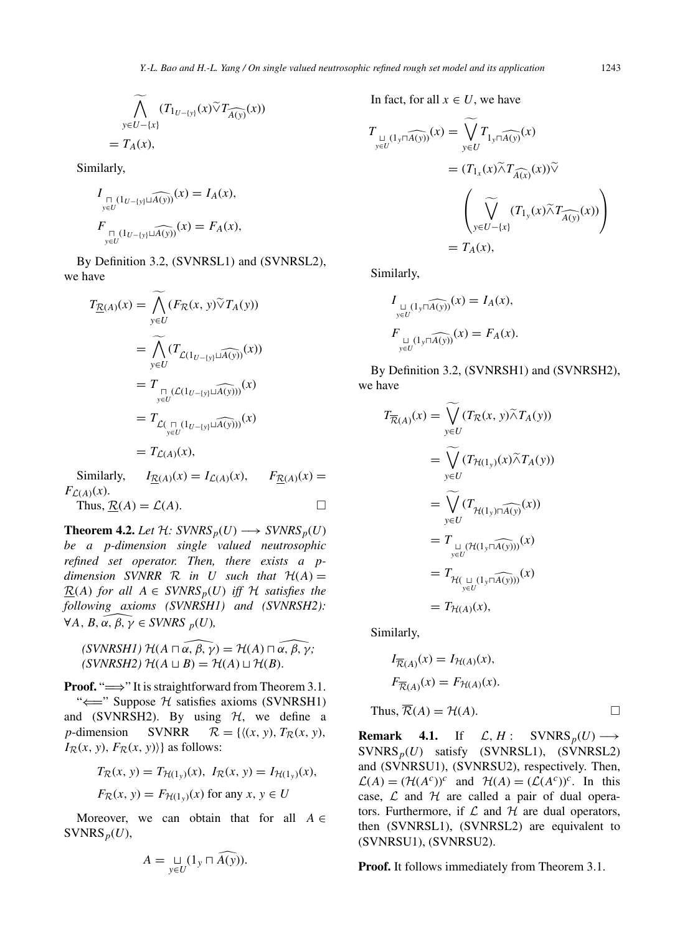$$
\widetilde{\bigwedge}_{y \in U - \{x\}} (T_{1_{U - \{y\}}}(x) \widetilde{\vee} T_{\widehat{A(y)}}(x))
$$
\n
$$
= T_A(x),
$$

Similarly,

$$
I_{\underset{y \in U}{\bigcap (1_{U - \{y\}} \sqcup \widehat{A(y)})}}(x) = I_A(x),
$$
  

$$
F_{\underset{y \in U}{\bigcap (1_{U - \{y\}} \sqcup \widehat{A(y)})}}(x) = F_A(x),
$$

By Definition 3.2, (SVNRSL1) and (SVNRSL2), we have

$$
T_{\underline{R}(A)}(x) = \underset{y \in U}{\widetilde{\bigwedge}} (F_{\overline{R}}(x, y) \widetilde{\vee} T_A(y))
$$
  
\n
$$
= \underset{y \in U}{\widetilde{\bigwedge}} (T_{\mathcal{L}(1_{U-[y]} \sqcup \widehat{A(y)})}(x))
$$
  
\n
$$
= T_{\underset{y \in U}{\prod} (\mathcal{L}(1_{U-[y]} \sqcup \widehat{A(y)}))}(x)
$$
  
\n
$$
= T_{\mathcal{L}(\underset{y \in U}{\prod} (1_{U-[y]} \sqcup \widehat{A(y)}))}(x)
$$
  
\n
$$
= T_{\mathcal{L}(A)}(x),
$$

Similarly,  $I_{\mathcal{R}(A)}(x) = I_{\mathcal{L}(A)}(x)$ ,  $F_{\mathcal{R}(A)}(x) =$  $F_{\mathcal{L}(A)}(x)$ .

Thus,  $\underline{\mathcal{R}}(A) = \mathcal{L}(A)$ .

**Theorem 4.2.** *Let*  $H: SVNRS_p(U) \longrightarrow SVNRS_p(U)$ *be a p-dimension single valued neutrosophic refined set operator. Then, there exists a pdimension SVNRR R in U such that*  $H(A) =$  $R(A)$  *for all*  $A \in SVNRS_p(U)$  *iff*  $H$  *satisfies the following axioms (SVNRSH1) and (SVNRSH2):*<br> $\forall A, B, \alpha, \beta, \gamma \in SVNRS_p(U)$ , *following axioms (SVNRSH1) and (SVNRSH2): (STITUM)* and (STITUM)<br> *B,*  $\alpha, \beta, \gamma \in \text{SVNRS } _{p}(U)$ ,<br>
(SVNRSH1)  $\mathcal{H}(A \sqcap \alpha, \beta, \gamma) = \mathcal{H}(A) \sqcap \alpha, \beta, \gamma;$ 

 $(KVNRSH2)$   $\mathcal{H}(A \sqcup B) = \mathcal{H}(A) \sqcup \mathcal{H}(B)$ .

**Proof.** "⇒" It is straightforward from Theorem 3.1. " $\Longleftarrow$ " Suppose H satisfies axioms (SVNRSH1) and (SVNRSH2). By using  $H$ , we define a *p*-dimension SVNRR  $\mathcal{R} = \{((x, y), T_{\mathcal{R}}(x, y))\}$  $\mathcal{R} = \{((x, y), T_{\mathcal{R}}(x, y)),$  $I_{\mathcal{R}}(x, y)$ *, F*<sub>R</sub> $(x, y)$ } as follows:

$$
T_{\mathcal{R}}(x, y) = T_{\mathcal{H}(1_y)}(x), \ I_{\mathcal{R}}(x, y) = I_{\mathcal{H}(1_y)}(x),
$$
  

$$
F_{\mathcal{R}}(x, y) = F_{\mathcal{H}(1_y)}(x) \text{ for any } x, y \in U
$$

Moreover, we can obtain that for all  $A \in$  $SVMRS_p(U)$ ,

$$
A = \mathop{\sqcup}\limits_{y \in U} (1_y \sqcap \widehat{A(y)}).
$$

In fact, for all  $x \in U$ , we have

$$
T_{\underset{y \in U}{\sqcup (1_{y} \cap \widehat{A(y)})}}(x) = \widetilde{\bigvee_{y \in U}} T_{1_{y} \cap \widehat{A(y)}}(x)
$$
  

$$
= (T_{1_{x}}(x) \widetilde{\wedge} T_{\widehat{A(x)}}(x)) \widetilde{\vee}
$$
  

$$
\left(\widetilde{\bigvee_{y \in U - \{x\}} (T_{1_{y}}(x) \widetilde{\wedge} T_{\widehat{A(y)}}(x))\right)
$$
  

$$
= T_{A}(x),
$$

Similarly,

$$
I_{\underset{y \in U}{\sqcup (1_{y} \cap \widehat{A(y)})}}(x) = I_{A}(x),
$$
  

$$
F_{\underset{y \in U}{\sqcup (1_{y} \cap \widehat{A(y)})}}(x) = F_{A}(x).
$$

By Definition 3.2, (SVNRSH1) and (SVNRSH2), we have

$$
T_{\overline{\mathcal{R}}(A)}(x) = \bigvee_{y \in U} (T_{\mathcal{R}}(x, y) \widetilde{\wedge} T_A(y))
$$
  
\n
$$
= \widetilde{\bigvee_{y \in U} (T_{\mathcal{H}(1_y)}(x) \widetilde{\wedge} T_A(y))}
$$
  
\n
$$
= \widetilde{\bigvee_{y \in U} (T_{\mathcal{H}(1_y) \cap \widehat{A(y)}}(x))}
$$
  
\n
$$
= T_{\bigcup_{y \in U} (\mathcal{H}(1_y \cap \widehat{A(y)}))}(x)
$$
  
\n
$$
= T_{\mathcal{H}(\bigcup_{y \in U} (1_y \cap \widehat{A(y)}))}(x)
$$
  
\n
$$
= T_{\mathcal{H}(A)}(x),
$$

Similarly,

$$
I_{\overline{\mathcal{R}}(A)}(x) = I_{\mathcal{H}(A)}(x),
$$
  
\n
$$
F_{\overline{\mathcal{R}}(A)}(x) = F_{\mathcal{H}(A)}(x).
$$
  
\nThus,  $\overline{\mathcal{R}}(A) = \mathcal{H}(A).$ 

**Remark 4.1.** If  $\mathcal{L}, H:$  SVNRS $_p(U) \longrightarrow$ SVNRS*p*(*U*) satisfy (SVNRSL1), (SVNRSL2) and (SVNRSU1), (SVNRSU2), respectively. Then,  $\mathcal{L}(A) = (\mathcal{H}(A^c))^c$  and  $\mathcal{H}(A) = (\mathcal{L}(A^c))^c$ . In this case,  $\mathcal L$  and  $\mathcal H$  are called a pair of dual operators. Furthermore, if  $\mathcal L$  and  $\mathcal H$  are dual operators, then (SVNRSL1), (SVNRSL2) are equivalent to (SVNRSU1), (SVNRSU2).

**Proof.** It follows immediately from Theorem 3.1.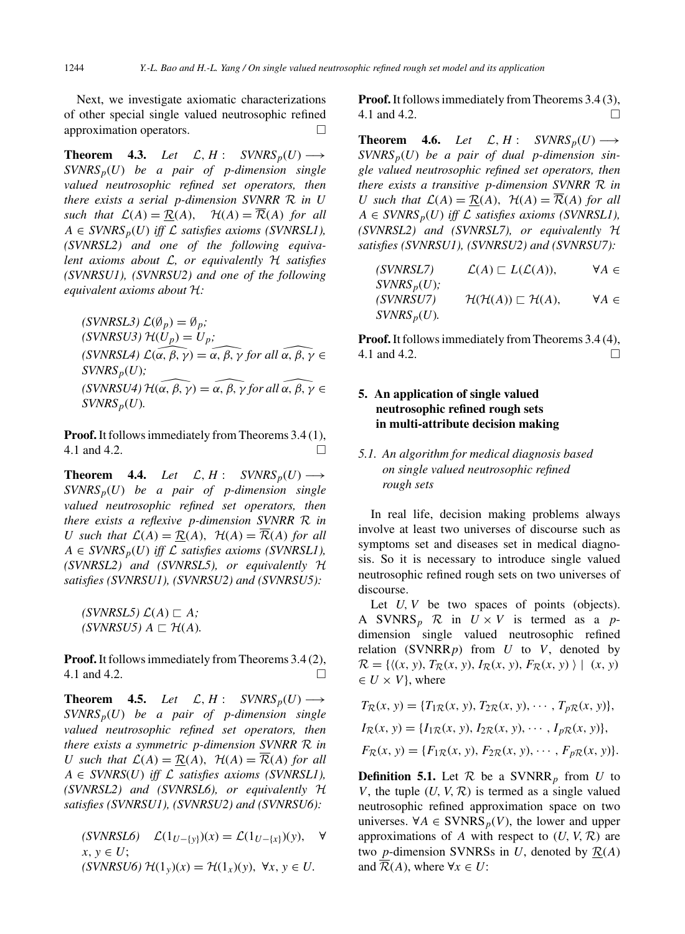Next, we investigate axiomatic characterizations of other special single valued neutrosophic refined approximation operators.

**Theorem 4.3.** *Let*  $\mathcal{L}, H: \text{SVNRS}_p(U) \longrightarrow$ *SVNRSp*(*U*) *be a pair of p-dimension single valued neutrosophic refined set operators, then there exists a serial p-dimension SVNRR* R *in U such that*  $\mathcal{L}(A) = \mathcal{R}(A)$ ,  $\mathcal{H}(A) = \overline{\mathcal{R}}(A)$  *for all*  $A \in \text{SVNRS}_p(U)$  *iff*  $\mathcal L$  *satisfies axioms (SVNRSL1), (SVNRSL2) and one of the following equivalent axioms about* L*, or equivalently* H *satisfies (SVNRSU1), (SVNRSU2) and one of the following equivalent axioms about* H*:*

 $(\text{SVNRSL3}) \mathcal{L}(\emptyset_p) = \emptyset_p;$  $(SVNRSU3)$   $\mathcal{H}(U_p) = U_p$ ;  $(SVNRSL3) \mathcal{L}(\emptyset_p) = \emptyset_p;$ <br>  $(SVNRSU3) \mathcal{H}(U_p) = U_p;$ <br>  $(SVNRSL4) \mathcal{L}(\alpha, \beta, \gamma) = \alpha, \beta, \gamma \text{ for all } \alpha, \beta, \gamma \in$  $SVMRS_p(U)$ ;  $(SVNRSL4) \mathcal{L}(\alpha, \beta, \gamma) = \alpha, \beta, \gamma \text{ for all } \alpha, \beta, \gamma \in$ <br>  $(SVNRSU4) \mathcal{H}(\alpha, \beta, \gamma) = \widehat{\alpha, \beta, \gamma} \text{ for all } \widehat{\alpha, \beta, \gamma} \in$  $SVMRS_p(U)$ .

**Proof.**It follows immediately from Theorems 3.4 (1), 4.1 and 4.2.

**Theorem 4.4.** *Let*  $\mathcal{L}, H$  :  $SVNRS_p(U) \longrightarrow$ *SVNRSp*(*U*) *be a pair of p-dimension single valued neutrosophic refined set operators, then there exists a reflexive p-dimension SVNRR* R *in U* such that  $\mathcal{L}(A) = \mathcal{R}(A)$ ,  $\mathcal{H}(A) = \overline{\mathcal{R}}(A)$  for all  $A \in SVNRS_p(U)$  *iff*  $\mathcal L$  *satisfies axioms (SVNRSL1), (SVNRSL2) and (SVNRSL5), or equivalently* H *satisfies (SVNRSU1), (SVNRSU2) and (SVNRSU5):*

 $\mathcal{L}(A) \sqsubset A$ ;  $(SVNRSUS) A \sqsubset H(A)$ .

**Proof.** It follows immediately from Theorems 3.4 (2), 4.1 and 4.2.

**Theorem 4.5.** *Let*  $\mathcal{L}, H: \text{SVNRS}_p(U) \longrightarrow$ *SVNRSp*(*U*) *be a pair of p-dimension single valued neutrosophic refined set operators, then there exists a symmetric p-dimension SVNRR* R *in U* such that  $\mathcal{L}(A) = \underline{\mathcal{R}}(A)$ ,  $\mathcal{H}(A) = \overline{\mathcal{R}}(A)$  for all  $A \in \text{SVNRS}(U)$  *iff*  $\mathcal L$  *satisfies axioms (SVNRSL1), (SVNRSL2) and (SVNRSL6), or equivalently* H *satisfies (SVNRSU1), (SVNRSU2) and (SVNRSU6):*

 $(SVNRSL6)$   $\mathcal{L}(1_{U-[y]})(x) = \mathcal{L}(1_{U-[x]})(y)$ , ∀  $x, y \in U$ ; *(SVNRSU6)*  $\mathcal{H}(1_y)(x) = \mathcal{H}(1_x)(y)$ , ∀*x*, *y* ∈ *U*.

**Proof.**It follows immediately from Theorems 3.4 (3), 4.1 and 4.2.

**Theorem 4.6.** *Let*  $\mathcal{L}, H: \text{SVNRS}_p(U) \longrightarrow$  $SVMRS_p(U)$  *be a pair of dual p-dimension single valued neutrosophic refined set operators, then there exists a transitive p-dimension SVNRR* R *in U* such that  $\mathcal{L}(A) = \mathcal{R}(A)$ ,  $\mathcal{H}(A) = \overline{\mathcal{R}}(A)$  for all  $A \in \text{SVNRS}_p(U)$  *iff*  $\mathcal L$  *satisfies axioms (SVNRSL1), (SVNRSL2) and (SVNRSL7), or equivalently* H *satisfies (SVNRSU1), (SVNRSU2) and (SVNRSU7):*

$$
(SVNRSL7) \qquad \mathcal{L}(A) \sqsubset L(\mathcal{L}(A)), \qquad \forall A \in SVNRS_p(U);
$$
  
\n
$$
(SVNRSU7) \qquad \mathcal{H}(\mathcal{H}(A)) \sqsubset \mathcal{H}(A), \qquad \forall A \in SVNRS_p(U).
$$

**Proof.**It follows immediately from Theorems 3.4 (4), 4.1 and 4.2.

# **5. An application of single valued neutrosophic refined rough sets in multi-attribute decision making**

# *5.1. An algorithm for medical diagnosis based on single valued neutrosophic refined rough sets*

In real life, decision making problems always involve at least two universes of discourse such as symptoms set and diseases set in medical diagnosis. So it is necessary to introduce single valued neutrosophic refined rough sets on two universes of discourse.

Let *U*, *V* be two spaces of points (objects). A SVNRS<sub>p</sub> R in  $U \times V$  is termed as a *p*dimension single valued neutrosophic refined relation (SVNRR*p*) from *U* to *V*, denoted by  $\mathcal{R} = \{((x, y), T_{\mathcal{R}}(x, y), I_{\mathcal{R}}(x, y), F_{\mathcal{R}}(x, y)) | (x, y) \}$  $\in U \times V$ , where

$$
T_{\mathcal{R}}(x, y) = \{T_{1\mathcal{R}}(x, y), T_{2\mathcal{R}}(x, y), \cdots, T_{p\mathcal{R}}(x, y)\},
$$
  
\n
$$
I_{\mathcal{R}}(x, y) = \{I_{1\mathcal{R}}(x, y), I_{2\mathcal{R}}(x, y), \cdots, I_{p\mathcal{R}}(x, y)\},
$$
  
\n
$$
F_{\mathcal{R}}(x, y) = \{F_{1\mathcal{R}}(x, y), F_{2\mathcal{R}}(x, y), \cdots, F_{p\mathcal{R}}(x, y)\}.
$$

**Definition 5.1.** Let  $\mathcal{R}$  be a SVNRR<sub>p</sub> from *U* to *V*, the tuple  $(U, V, \mathcal{R})$  is termed as a single valued neutrosophic refined approximation space on two universes. ∀*A* ∈ SVNRS<sub>*p*</sub>(*V*), the lower and upper approximations of *A* with respect to  $(U, V, \mathcal{R})$  are two *p*-dimension SVNRSs in *U*, denoted by  $\mathcal{R}(A)$ and  $\overline{\mathcal{R}}(A)$ , where  $\forall x \in U$ :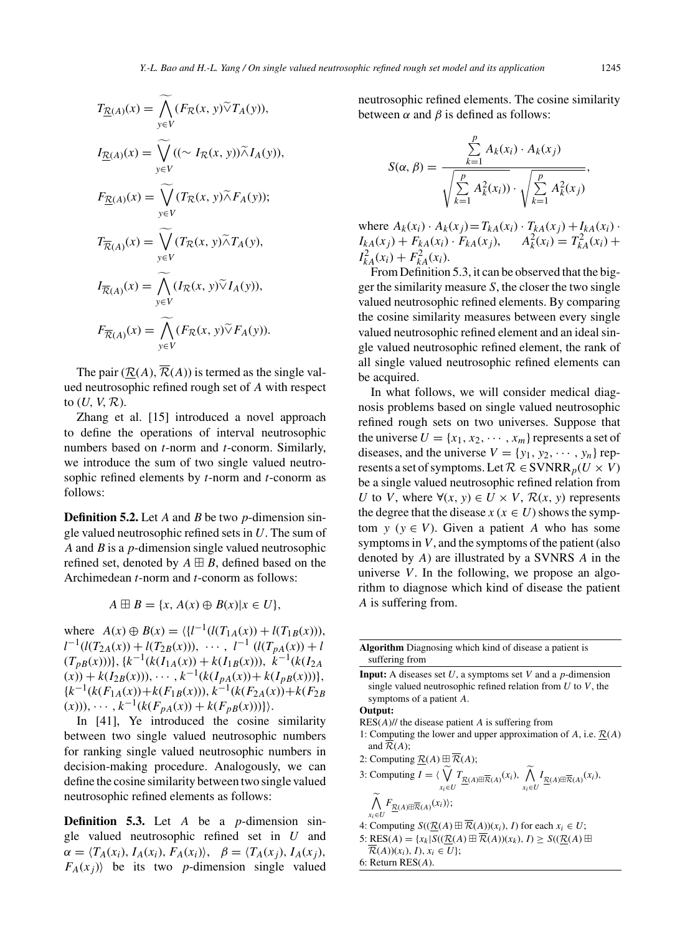$$
T_{\underline{R}(A)}(x) = \bigwedge_{y \in V} (F_{\mathcal{R}}(x, y) \tilde{\vee} T_A(y)),
$$
  
\n
$$
I_{\underline{R}(A)}(x) = \bigvee_{y \in V} ((\sim I_{\mathcal{R}}(x, y)) \tilde{\wedge} I_A(y)),
$$
  
\n
$$
F_{\underline{R}(A)}(x) = \bigvee_{y \in V} (T_{\mathcal{R}}(x, y) \tilde{\wedge} F_A(y));
$$
  
\n
$$
T_{\overline{R}(A)}(x) = \bigvee_{y \in V} (T_{\mathcal{R}}(x, y) \tilde{\wedge} T_A(y),
$$
  
\n
$$
I_{\overline{R}(A)}(x) = \bigwedge_{y \in V} (I_{\mathcal{R}}(x, y) \tilde{\vee} I_A(y)),
$$
  
\n
$$
F_{\overline{R}(A)}(x) = \bigwedge_{y \in V} (F_{\mathcal{R}}(x, y) \tilde{\vee} F_A(y)).
$$

The pair  $(R(A), \overline{R}(A))$  is termed as the single valued neutrosophic refined rough set of *A* with respect to (*U, V,* R).

Zhang et al. [15] introduced a novel approach to define the operations of interval neutrosophic numbers based on *t*-norm and *t*-conorm. Similarly, we introduce the sum of two single valued neutrosophic refined elements by *t*-norm and *t*-conorm as follows:

**Definition 5.2.** Let *A* and *B* be two *p*-dimension single valued neutrosophic refined sets in *U*. The sum of *A* and *B* is a *p*-dimension single valued neutrosophic refined set, denoted by  $A \oplus B$ , defined based on the Archimedean *t*-norm and *t*-conorm as follows:

$$
A \boxplus B = \{x, A(x) \oplus B(x) | x \in U\},\
$$

where  $A(x) \oplus B(x) = \langle \{l^{-1}(l(T_{1A}(x)) + l(T_{1B}(x))),$  $l^{-1}(l(T_{2A}(x)) + l(T_{2B}(x))), \cdots, l^{-1}(l(T_{pA}(x)) + l$  $(T_{pB}(x)))\},\{k^{-1}(k(I_{1A}(x)) + k(I_{1B}(x))),\ k^{-1}(k(I_{2A}(x)))\}$  $(x)$  +  $k(I_{2B}(x))$ , ···,  $k^{-1}(k(I_{pA}(x)) + k(I_{pB}(x)))$ }  $\{k^{-1}(k(F_{1A}(x)) + k(F_{1B}(x)))\}$ ,  $k^{-1}(k(F_{2A}(x)) + k(F_{2B}(x)))$  $(x))$ ),  $\dots$ ,  $k^{-1}(k(F_{pA}(x)) + k(F_{pB}(x)))$ .

In [41], Ye introduced the cosine similarity between two single valued neutrosophic numbers for ranking single valued neutrosophic numbers in decision-making procedure. Analogously, we can define the cosine similarity between two single valued neutrosophic refined elements as follows:

**Definition 5.3.** Let *A* be a *p*-dimension single valued neutrosophic refined set in *U* and  $\alpha = \langle T_A(x_i), I_A(x_i), F_A(x_i) \rangle, \ \ \beta = \langle T_A(x_i), I_A(x_i) \rangle,$  $F_A(x_i)$  be its two *p*-dimension single valued

neutrosophic refined elements. The cosine similarity between  $\alpha$  and  $\beta$  is defined as follows:

$$
S(\alpha, \beta) = \frac{\sum_{k=1}^{p} A_k(x_i) \cdot A_k(x_j)}{\sqrt{\sum_{k=1}^{p} A_k^2(x_i))} \cdot \sqrt{\sum_{k=1}^{p} A_k^2(x_j)}},
$$

where  $A_k(x_i) \cdot A_k(x_i) = T_{kA}(x_i) \cdot T_{kA}(x_i) + I_{kA}(x_i) \cdot$  $I_{kA}(x_j) + F_{kA}(x_i) \cdot F_{kA}(x_j), \qquad A_k^2(x_i) = T_{kA}^2(x_i) +$  $I_{kA}^2(x_i) + F_{kA}^2(x_i).$ 

From Definition 5.3, it can be observed that the bigger the similarity measure *S*, the closer the two single valued neutrosophic refined elements. By comparing the cosine similarity measures between every single valued neutrosophic refined element and an ideal single valued neutrosophic refined element, the rank of all single valued neutrosophic refined elements can be acquired.

In what follows, we will consider medical diagnosis problems based on single valued neutrosophic refined rough sets on two universes. Suppose that the universe  $U = \{x_1, x_2, \cdots, x_m\}$  represents a set of diseases, and the universe  $V = \{y_1, y_2, \dots, y_n\}$  represents a set of symptoms. Let  $\mathcal{R} \in \text{SVNRR}_p(U \times V)$ be a single valued neutrosophic refined relation from *U* to *V*, where  $\forall$ (*x*, *y*)  $\in$  *U*  $\times$  *V*,  $\mathcal{R}(x, y)$  represents the degree that the disease  $x (x \in U)$  shows the symptom  $y (y \in V)$ . Given a patient *A* who has some symptoms in *V*, and the symptoms of the patient (also denoted by *A*) are illustrated by a SVNRS *A* in the universe *V*. In the following, we propose an algorithm to diagnose which kind of disease the patient *A* is suffering from.

|                | <b>Algorithm</b> Diagnosing which kind of disease a patient is |  |  |
|----------------|----------------------------------------------------------------|--|--|
| suffering from |                                                                |  |  |

**Input:** A diseases set *U*, a symptoms set *V* and a *p*-dimension single valued neutrosophic refined relation from *U* to *V*, the symptoms of a patient *A*.

**Output:**

- RES(*A*)// the disease patient *A* is suffering from
- 1: Computing the lower and upper approximation of  $A$ , i.e.  $\mathcal{R}(A)$ and  $\overline{\mathcal{R}}(A)$ ;
- 2: Computing  $\underline{\mathcal{R}}(A) \boxplus \overline{\mathcal{R}}(A)$ ;

3: Computing 
$$
I = \langle \bigvee_{x_i \in U} T_{\underline{\mathcal{R}}(A) \boxplus \overline{\mathcal{R}}(A)}(x_i), \bigwedge_{x_i \in U} I_{\underline{\mathcal{R}}(A) \boxplus \overline{\mathcal{R}}(A)}(x_i),
$$
  

$$
\bigwedge_{x_i \in U} F_{\underline{\mathcal{R}}(A) \boxplus \overline{\mathcal{R}}(A)}(x_i);
$$

- *x<sub>i</sub>*∈*U* − *Y*<br>4: Computing *S*(( $\underline{\mathcal{R}}(A) \boxplus \overline{\mathcal{R}}(A)(x_i)$ *, I*) for each *x<sub>i</sub>* ∈ *U*;
- 5: RES(A) =  $\{x_k | S((\mathcal{R}(A) \boxplus \overline{\mathcal{R}}(A))(x_k), I) \ge S((\mathcal{R}(A) \boxplus \overline{\mathcal{R}}(A))$  $\overline{\mathcal{R}}(A)(x_i), I), x_i \in U;$

6: Return RES(*A*).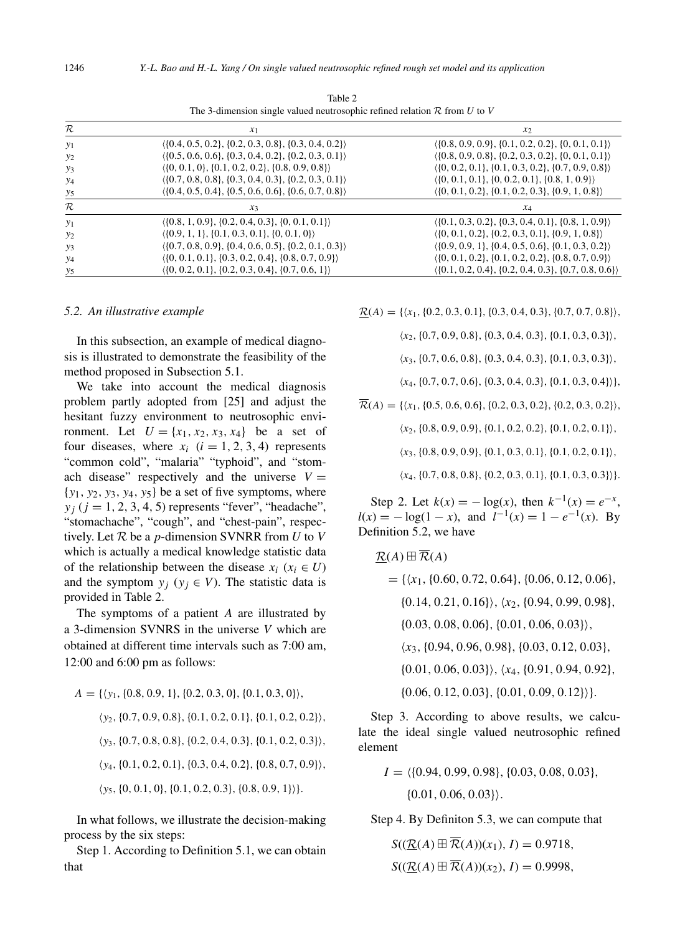| $\mathcal R$ | $x_1$                                                                     | $x_2$                                                                     |
|--------------|---------------------------------------------------------------------------|---------------------------------------------------------------------------|
| $y_1$        | $\langle \{0.4, 0.5, 0.2\}, \{0.2, 0.3, 0.8\}, \{0.3, 0.4, 0.2\} \rangle$ | $\langle \{0.8, 0.9, 0.9\}, \{0.1, 0.2, 0.2\}, \{0, 0.1, 0.1\} \rangle$   |
| $y_2$        | $( \{0.5, 0.6, 0.6\}, \{0.3, 0.4, 0.2\}, \{0.2, 0.3, 0.1\} )$             | $\langle \{0.8, 0.9, 0.8\}, \{0.2, 0.3, 0.2\}, \{0, 0.1, 0.1\} \rangle$   |
| $y_3$        | $\langle \{0, 0.1, 0\}, \{0.1, 0.2, 0.2\}, \{0.8, 0.9, 0.8\} \rangle$     | $\langle \{0, 0.2, 0.1\}, \{0.1, 0.3, 0.2\}, \{0.7, 0.9, 0.8\} \rangle$   |
| $y_4$        | $\langle \{0.7, 0.8, 0.8\}, \{0.3, 0.4, 0.3\}, \{0.2, 0.3, 0.1\} \rangle$ | $\langle \{0, 0.1, 0.1\}, \{0, 0.2, 0.1\}, \{0.8, 1, 0.9\} \rangle$       |
| $y_5$        | $\langle \{0.4, 0.5, 0.4\}, \{0.5, 0.6, 0.6\}, \{0.6, 0.7, 0.8\} \rangle$ | $\langle \{0, 0.1, 0.2\}, \{0.1, 0.2, 0.3\}, \{0.9, 1, 0.8\} \rangle$     |
| $\cal R$     | $x_3$                                                                     | $x_4$                                                                     |
| $y_1$        | $( \{0.8, 1, 0.9\}, \{0.2, 0.4, 0.3\}, \{0, 0.1, 0.1\} )$                 | $\langle \{0.1, 0.3, 0.2\}, \{0.3, 0.4, 0.1\}, \{0.8, 1, 0.9\} \rangle$   |
| $y_2$        | $( \{0.9, 1, 1\}, \{0.1, 0.3, 0.1\}, \{0, 0.1, 0\} )$                     | $\langle \{0, 0.1, 0.2\}, \{0.2, 0.3, 0.1\}, \{0.9, 1, 0.8\} \rangle$     |
| $y_3$        | $\langle \{0.7, 0.8, 0.9\}, \{0.4, 0.6, 0.5\}, \{0.2, 0.1, 0.3\} \rangle$ | $( \{0.9, 0.9, 1\}, \{0.4, 0.5, 0.6\}, \{0.1, 0.3, 0.2\})$                |
| $y_4$        | $\langle \{0, 0.1, 0.1\}, \{0.3, 0.2, 0.4\}, \{0.8, 0.7, 0.9\} \rangle$   | $\langle \{0, 0.1, 0.2\}, \{0.1, 0.2, 0.2\}, \{0.8, 0.7, 0.9\} \rangle$   |
| $y_5$        | $\langle \{0, 0.2, 0.1\}, \{0.2, 0.3, 0.4\}, \{0.7, 0.6, 1\} \rangle$     | $\langle \{0.1, 0.2, 0.4\}, \{0.2, 0.4, 0.3\}, \{0.7, 0.8, 0.6\} \rangle$ |

Table 2 The 3-dimension single valued neutrosophic refined relation R from *U* to *V*

#### *5.2. An illustrative example*

In this subsection, an example of medical diagnosis is illustrated to demonstrate the feasibility of the method proposed in Subsection 5.1.

We take into account the medical diagnosis problem partly adopted from [25] and adjust the hesitant fuzzy environment to neutrosophic environment. Let  $U = \{x_1, x_2, x_3, x_4\}$  be a set of four diseases, where  $x_i$  ( $i = 1, 2, 3, 4$ ) represents "common cold", "malaria" "typhoid", and "stomach disease" respectively and the universe  $V =$ {*y*1*, y*2*, y*3*, y*4*, y*5} be a set of five symptoms, where  $y_i$  ( $j = 1, 2, 3, 4, 5$ ) represents "fever", "headache", "stomachache", "cough", and "chest-pain", respectively. Let R be a *p*-dimension SVNRR from *U* to *V* which is actually a medical knowledge statistic data of the relationship between the disease  $x_i$  ( $x_i \in U$ ) and the symptom  $y_j$  ( $y_j \in V$ ). The statistic data is provided in Table 2.

The symptoms of a patient *A* are illustrated by a 3-dimension SVNRS in the universe *V* which are obtained at different time intervals such as 7:00 am, 12:00 and 6:00 pm as follows:

$$
A = \{ \langle y_1, \{0.8, 0.9, 1\}, \{0.2, 0.3, 0\}, \{0.1, 0.3, 0\} \rangle,
$$
  

$$
\langle y_2, \{0.7, 0.9, 0.8\}, \{0.1, 0.2, 0.1\}, \{0.1, 0.2, 0.2\} \rangle,
$$
  

$$
\langle y_3, \{0.7, 0.8, 0.8\}, \{0.2, 0.4, 0.3\}, \{0.1, 0.2, 0.3\} \rangle,
$$
  

$$
\langle y_4, \{0.1, 0.2, 0.1\}, \{0.3, 0.4, 0.2\}, \{0.8, 0.7, 0.9\} \rangle,
$$
  

$$
\langle y_5, \{0, 0.1, 0\}, \{0.1, 0.2, 0.3\}, \{0.8, 0.9, 1\} \rangle \}.
$$

In what follows, we illustrate the decision-making process by the six steps:

Step 1. According to Definition 5.1, we can obtain that

 $R(A) = \{ \langle x_1, \{0.2, 0.3, 0.1\}, \{0.3, 0.4, 0.3\}, \{0.7, 0.7, 0.8\} \rangle$ 

*x*2*,*{0*.*7*,* 0*.*9*,* 0*.*8}*,*{0*.*3*,* 0*.*4*,* 0*.*3}*,*{0*.*1*,* 0*.*3*,* 0*.*3}*,*

*x*3*,*{0*.*7*,* 0*.*6*,* 0*.*8}*,*{0*.*3*,* 0*.*4*,* 0*.*3}*,*{0*.*1*,* 0*.*3*,* 0*.*3}*,*

*x*4*,*{0*.*7*,* 0*.*7*,* 0*.*6}*,*{0*.*3*,* 0*.*4*,* 0*.*3}*,*{0*.*1*,* 0*.*3*,* 0*.*4}}*,*

 $\overline{\mathcal{R}}(A) = \{ \langle x_1, \{0.5, 0.6, 0.6\}, \{0.2, 0.3, 0.2\}, \{0.2, 0.3, 0.2\} \rangle$ *x*2*,*{0*.*8*,* 0*.*9*,* 0*.*9}*,*{0*.*1*,* 0*.*2*,* 0*.*2}*,*{0*.*1*,* 0*.*2*,* 0*.*1}*, x*3*,*{0*.*8*,* 0*.*9*,* 0*.*9}*,*{0*.*1*,* 0*.*3*,* 0*.*1}*,*{0*.*1*,* 0*.*2*,* 0*.*1}*, x*4*,*{0*.*7*,* 0*.*8*,* 0*.*8}*,*{0*.*2*,* 0*.*3*,* 0*.*1}*,*{0*.*1*,* 0*.*3*,* 0*.*3}}*.*

Step 2. Let  $k(x) = -\log(x)$ , then  $k^{-1}(x) = e^{-x}$ ,  $l(x) = -\log(1-x)$ , and  $l^{-1}(x) = 1 - e^{-1}(x)$ . By Definition 5.2, we have

$$
\underline{\mathcal{R}}(A) \boxplus \overline{\mathcal{R}}(A) = \{ \langle x_1, \{0.60, 0.72, 0.64\}, \{0.06, 0.12, 0.06\}, \{0.14, 0.21, 0.16\} \rangle, \langle x_2, \{0.94, 0.99, 0.98\}, \{0.03, 0.08, 0.06\}, \{0.01, 0.06, 0.03\} \rangle,
$$
  

$$
\langle x_3, \{0.94, 0.96, 0.98\}, \{0.03, 0.12, 0.03\}, \{0.01, 0.06, 0.93\}, \{0.01, 0.06, 0.03\} \rangle, \langle x_4, \{0.91, 0.94, 0.92\}, \{0.06, 0.12, 0.03\}, \{0.01, 0.09, 0.12\} \rangle \}.
$$

Step 3. According to above results, we calculate the ideal single valued neutrosophic refined element

$$
I = \langle \{0.94, 0.99, 0.98\}, \{0.03, 0.08, 0.03\}, \{0.01, 0.06, 0.03\} \rangle.
$$

Step 4. By Definiton 5.3, we can compute that

 $S((R(A) \boxplus \overline{R}(A))(x_1), I) = 0.9718$  $S((R(A) \boxplus \overline{R}(A))(x_2), I) = 0.9998$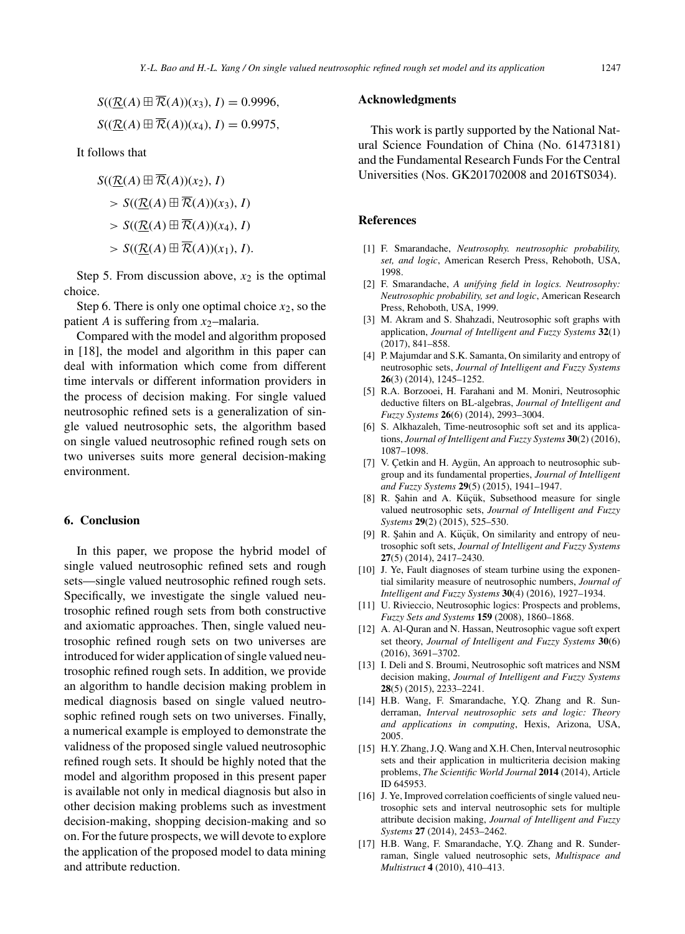$$
S((\underline{\mathcal{R}}(A) \boxplus \overline{\mathcal{R}}(A))(x_3), I) = 0.9996,
$$
  

$$
S((\underline{\mathcal{R}}(A) \boxplus \overline{\mathcal{R}}(A))(x_4), I) = 0.9975,
$$

It follows that

$$
S((\underline{\mathcal{R}}(A) \boxplus \mathcal{R}(A))(x_2), I)
$$
  
> 
$$
S((\underline{\mathcal{R}}(A) \boxplus \overline{\mathcal{R}}(A))(x_3), I)
$$
  
> 
$$
S((\underline{\mathcal{R}}(A) \boxplus \overline{\mathcal{R}}(A))(x_4), I)
$$
  
> 
$$
S((\underline{\mathcal{R}}(A) \boxplus \overline{\mathcal{R}}(A))(x_1), I).
$$

Step 5. From discussion above,  $x_2$  is the optimal choice.

Step 6. There is only one optimal choice  $x_2$ , so the patient *A* is suffering from *x*2–malaria.

Compared with the model and algorithm proposed in [18], the model and algorithm in this paper can deal with information which come from different time intervals or different information providers in the process of decision making. For single valued neutrosophic refined sets is a generalization of single valued neutrosophic sets, the algorithm based on single valued neutrosophic refined rough sets on two universes suits more general decision-making environment.

### **6. Conclusion**

In this paper, we propose the hybrid model of single valued neutrosophic refined sets and rough sets—single valued neutrosophic refined rough sets. Specifically, we investigate the single valued neutrosophic refined rough sets from both constructive and axiomatic approaches. Then, single valued neutrosophic refined rough sets on two universes are introduced for wider application of single valued neutrosophic refined rough sets. In addition, we provide an algorithm to handle decision making problem in medical diagnosis based on single valued neutrosophic refined rough sets on two universes. Finally, a numerical example is employed to demonstrate the validness of the proposed single valued neutrosophic refined rough sets. It should be highly noted that the model and algorithm proposed in this present paper is available not only in medical diagnosis but also in other decision making problems such as investment decision-making, shopping decision-making and so on. For the future prospects, we will devote to explore the application of the proposed model to data mining and attribute reduction.

### **Acknowledgments**

This work is partly supported by the National Natural Science Foundation of China (No. 61473181) and the Fundamental Research Funds For the Central Universities (Nos. GK201702008 and 2016TS034).

#### **References**

- [1] F. Smarandache, *Neutrosophy. neutrosophic probability, set, and logic*, American Reserch Press, Rehoboth, USA, 1998.
- [2] F. Smarandache, *A unifying field in logics. Neutrosophy: Neutrosophic probability, set and logic*, American Research Press, Rehoboth, USA, 1999.
- [3] M. Akram and S. Shahzadi, Neutrosophic soft graphs with application, *Journal of Intelligent and Fuzzy Systems* **32**(1) (2017), 841–858.
- [4] P. Majumdar and S.K. Samanta, On similarity and entropy of neutrosophic sets, *Journal of Intelligent and Fuzzy Systems* **26**(3) (2014), 1245–1252.
- [5] R.A. Borzooei, H. Farahani and M. Moniri, Neutrosophic deductive filters on BL-algebras, *Journal of Intelligent and Fuzzy Systems* **26**(6) (2014), 2993–3004.
- [6] S. Alkhazaleh, Time-neutrosophic soft set and its applications, *Journal of Intelligent and Fuzzy Systems* **30**(2) (2016), 1087–1098.
- [7] V. Çetkin and H. Aygün, An approach to neutrosophic subgroup and its fundamental properties, *Journal of Intelligent and Fuzzy Systems* **29**(5) (2015), 1941–1947.
- [8] R. Şahin and A. Küçük, Subsethood measure for single valued neutrosophic sets, *Journal of Intelligent and Fuzzy Systems* **29**(2) (2015), 525–530.
- [9] R. Şahin and A. Küçük, On similarity and entropy of neutrosophic soft sets, *Journal of Intelligent and Fuzzy Systems* **27**(5) (2014), 2417–2430.
- [10] J. Ye, Fault diagnoses of steam turbine using the exponential similarity measure of neutrosophic numbers, *Journal of Intelligent and Fuzzy Systems* **30**(4) (2016), 1927–1934.
- [11] U. Rivieccio, Neutrosophic logics: Prospects and problems, *Fuzzy Sets and Systems* **159** (2008), 1860–1868.
- [12] A. Al-Quran and N. Hassan, Neutrosophic vague soft expert set theory, *Journal of Intelligent and Fuzzy Systems* **30**(6) (2016), 3691–3702.
- [13] I. Deli and S. Broumi, Neutrosophic soft matrices and NSM decision making, *Journal of Intelligent and Fuzzy Systems* **28**(5) (2015), 2233–2241.
- [14] H.B. Wang, F. Smarandache, Y.Q. Zhang and R. Sunderraman, *Interval neutrosophic sets and logic: Theory and applications in computing*, Hexis, Arizona, USA, 2005.
- [15] H.Y. Zhang, J.Q. Wang and X.H. Chen, Interval neutrosophic sets and their application in multicriteria decision making problems, *The Scientific World Journal* **2014** (2014), Article ID 645953.
- [16] J. Ye, Improved correlation coefficients of single valued neutrosophic sets and interval neutrosophic sets for multiple attribute decision making, *Journal of Intelligent and Fuzzy Systems* **27** (2014), 2453–2462.
- [17] H.B. Wang, F. Smarandache, Y.Q. Zhang and R. Sunderraman, Single valued neutrosophic sets, *Multispace and Multistruct* **4** (2010), 410–413.